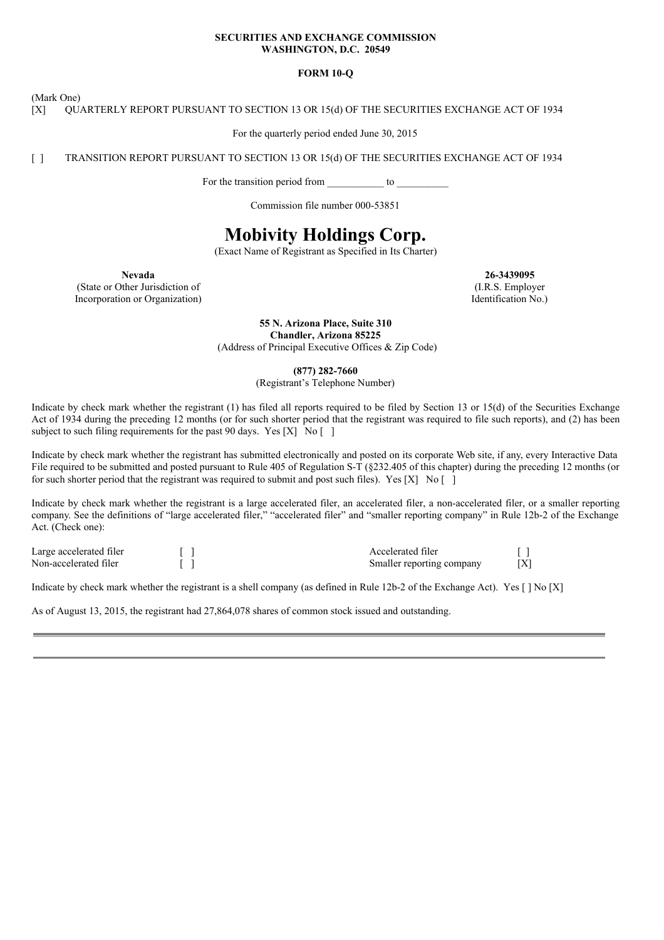#### **SECURITIES AND EXCHANGE COMMISSION WASHINGTON, D.C. 20549**

#### **FORM 10-Q**

(Mark One)

[X] QUARTERLY REPORT PURSUANT TO SECTION 13 OR 15(d) OF THE SECURITIES EXCHANGE ACT OF 1934

For the quarterly period ended June 30, 2015

[ ] TRANSITION REPORT PURSUANT TO SECTION 13 OR 15(d) OF THE SECURITIES EXCHANGE ACT OF 1934

For the transition period from  $\frac{1}{\sqrt{1-\frac{1}{n}}}\$  to  $\frac{1}{\sqrt{1-\frac{1}{n}}}\$ 

Commission file number 000-53851

# **Mobivity Holdings Corp.**

(Exact Name of Registrant as Specified in Its Charter)

(State or Other Jurisdiction of (I.R.S. Employer) (I.R.S. Employer (I.R.S. Employer) (I.R.S. Employer Incorporation or Organization)

**Nevada 26-3439095**<br> **26-3439095 (I.R.S. Employer** 

**55 N. Arizona Place, Suite 310 Chandler, Arizona 85225**

(Address of Principal Executive Offices & Zip Code)

**(877) 282-7660**

(Registrant's Telephone Number)

Indicate by check mark whether the registrant (1) has filed all reports required to be filed by Section 13 or 15(d) of the Securities Exchange Act of 1934 during the preceding 12 months (or for such shorter period that the registrant was required to file such reports), and (2) has been subject to such filing requirements for the past 90 days. Yes  $[X]$  No  $[ \ ]$ 

Indicate by check mark whether the registrant has submitted electronically and posted on its corporate Web site, if any, every Interactive Data File required to be submitted and posted pursuant to Rule 405 of Regulation S-T (§232.405 of this chapter) during the preceding 12 months (or for such shorter period that the registrant was required to submit and post such files). Yes  $[X]$  No  $[ ]$ 

Indicate by check mark whether the registrant is a large accelerated filer, an accelerated filer, a non-accelerated filer, or a smaller reporting company. See the definitions of "large accelerated filer," "accelerated filer" and "smaller reporting company" in Rule 12b-2 of the Exchange Act. (Check one):

Large accelerated filer [ ]  $\qquad \qquad$  [ ]  $\qquad \qquad$  Accelerated filer [ ]  $\qquad \qquad$  [ ]  $\qquad \qquad$  [ X]  $\qquad \qquad$  [X] Non-accelerated filer [ ] Smaller reporting company

Indicate by check mark whether the registrant is a shell company (as defined in Rule 12b-2 of the Exchange Act). Yes [ ] No [X]

As of August 13, 2015, the registrant had 27,864,078 shares of common stock issued and outstanding.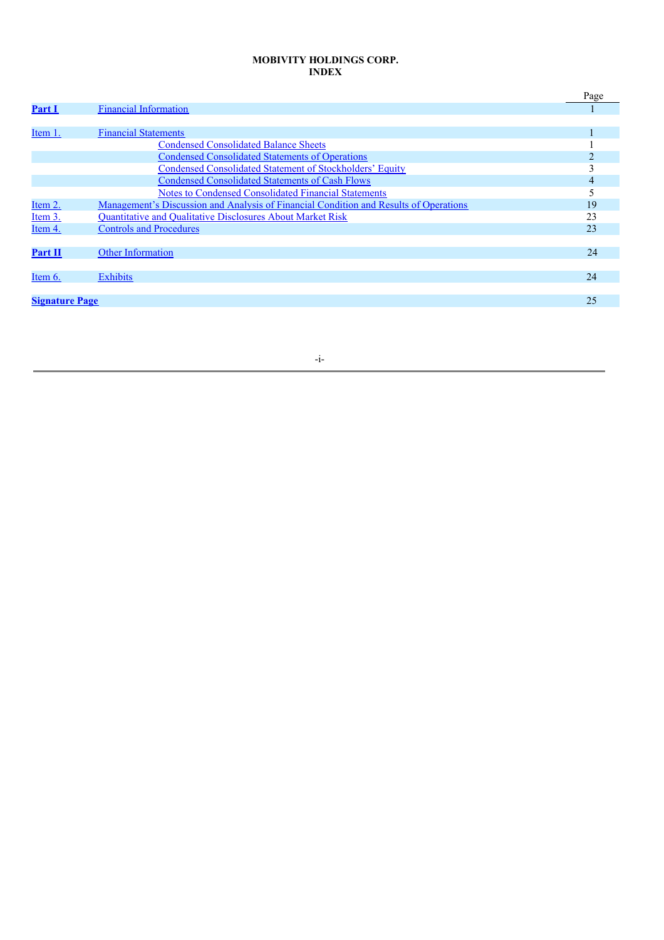## <span id="page-1-0"></span>**MOBIVITY HOLDINGS CORP. INDEX**

|                       |                                                                                       | Page |
|-----------------------|---------------------------------------------------------------------------------------|------|
| <b>Part I</b>         | <b>Financial Information</b>                                                          |      |
|                       |                                                                                       |      |
| Item 1.               | <b>Financial Statements</b>                                                           |      |
|                       | <b>Condensed Consolidated Balance Sheets</b>                                          |      |
|                       | <b>Condensed Consolidated Statements of Operations</b>                                |      |
|                       | <b>Condensed Consolidated Statement of Stockholders' Equity</b>                       |      |
|                       | <b>Condensed Consolidated Statements of Cash Flows</b>                                | 4    |
|                       | Notes to Condensed Consolidated Financial Statements                                  |      |
| Item 2.               | Management's Discussion and Analysis of Financial Condition and Results of Operations | 19   |
| Item 3.               | Quantitative and Qualitative Disclosures About Market Risk                            | 23   |
| Item 4.               | <b>Controls and Procedures</b>                                                        | 23   |
|                       |                                                                                       |      |
| <b>Part II</b>        | <b>Other Information</b>                                                              | 24   |
|                       |                                                                                       |      |
| Item $6.$             | <b>Exhibits</b>                                                                       | 24   |
|                       |                                                                                       |      |
| <b>Signature Page</b> |                                                                                       | 25   |
|                       |                                                                                       |      |

-i-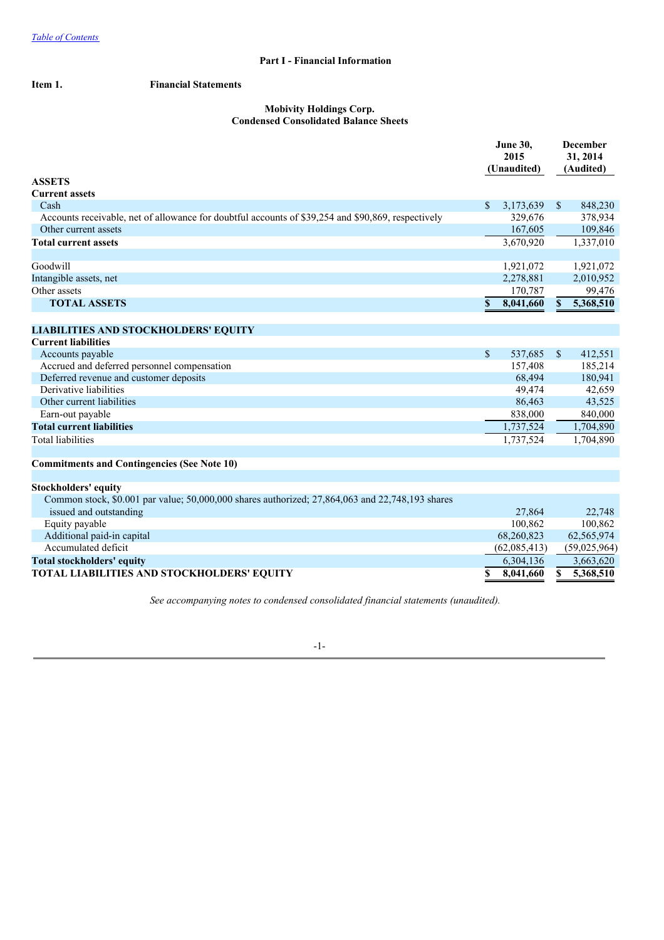## <span id="page-2-2"></span><span id="page-2-0"></span>**Part I - Financial Information**

#### **Item 1. Financial Statements**

#### <span id="page-2-1"></span>**Mobivity Holdings Corp. Condensed Consolidated Balance Sheets**

|                                                                                                    |             | <b>June 30,</b> |               | December     |
|----------------------------------------------------------------------------------------------------|-------------|-----------------|---------------|--------------|
|                                                                                                    |             | 2015            |               | 31, 2014     |
|                                                                                                    |             | (Unaudited)     |               | (Audited)    |
| <b>ASSETS</b>                                                                                      |             |                 |               |              |
| <b>Current assets</b>                                                                              |             |                 |               |              |
| Cash                                                                                               | \$          | 3,173,639       | $\mathbb{S}$  | 848,230      |
| Accounts receivable, net of allowance for doubtful accounts of \$39,254 and \$90,869, respectively |             | 329,676         |               | 378,934      |
| Other current assets                                                                               |             | 167,605         |               | 109,846      |
| <b>Total current assets</b>                                                                        |             | 3,670,920       |               | 1,337,010    |
|                                                                                                    |             |                 |               |              |
| Goodwill                                                                                           |             | 1,921,072       |               | 1,921,072    |
| Intangible assets, net                                                                             |             | 2,278,881       |               | 2,010,952    |
| Other assets                                                                                       |             | 170,787         |               | 99,476       |
| <b>TOTAL ASSETS</b>                                                                                | $\mathbf S$ | 8,041,660       | $\mathbf S$   | 5,368,510    |
|                                                                                                    |             |                 |               |              |
| <b>LIABILITIES AND STOCKHOLDERS' EQUITY</b>                                                        |             |                 |               |              |
| <b>Current liabilities</b>                                                                         |             |                 |               |              |
| Accounts payable                                                                                   | \$          | 537,685         | $\mathcal{S}$ | 412,551      |
| Accrued and deferred personnel compensation                                                        |             | 157,408         |               | 185,214      |
| Deferred revenue and customer deposits                                                             |             | 68,494          |               | 180,941      |
| Derivative liabilities                                                                             |             | 49,474          |               | 42,659       |
| Other current liabilities                                                                          |             | 86,463          |               | 43,525       |
| Earn-out payable                                                                                   |             | 838,000         |               | 840,000      |
| <b>Total current liabilities</b>                                                                   |             | 1,737,524       |               | 1,704,890    |
| <b>Total liabilities</b>                                                                           |             | 1,737,524       |               | 1,704,890    |
|                                                                                                    |             |                 |               |              |
| <b>Commitments and Contingencies (See Note 10)</b>                                                 |             |                 |               |              |
|                                                                                                    |             |                 |               |              |
| <b>Stockholders' equity</b>                                                                        |             |                 |               |              |
| Common stock, \$0.001 par value; 50,000,000 shares authorized; 27,864,063 and 22,748,193 shares    |             |                 |               |              |
| issued and outstanding                                                                             |             | 27,864          |               | 22,748       |
| Equity payable                                                                                     |             | 100,862         |               | 100,862      |
| Additional paid-in capital                                                                         |             | 68,260,823      |               | 62,565,974   |
| Accumulated deficit                                                                                |             | (62,085,413)    |               | (59,025,964) |
| Total stockholders' equity                                                                         |             | 6,304,136       |               | 3,663,620    |
| TOTAL LIABILITIES AND STOCKHOLDERS' EQUITY                                                         | \$          | 8,041,660       | \$            | 5,368,510    |

*See accompanying notes to condensed consolidated financial statements (unaudited).*

-1-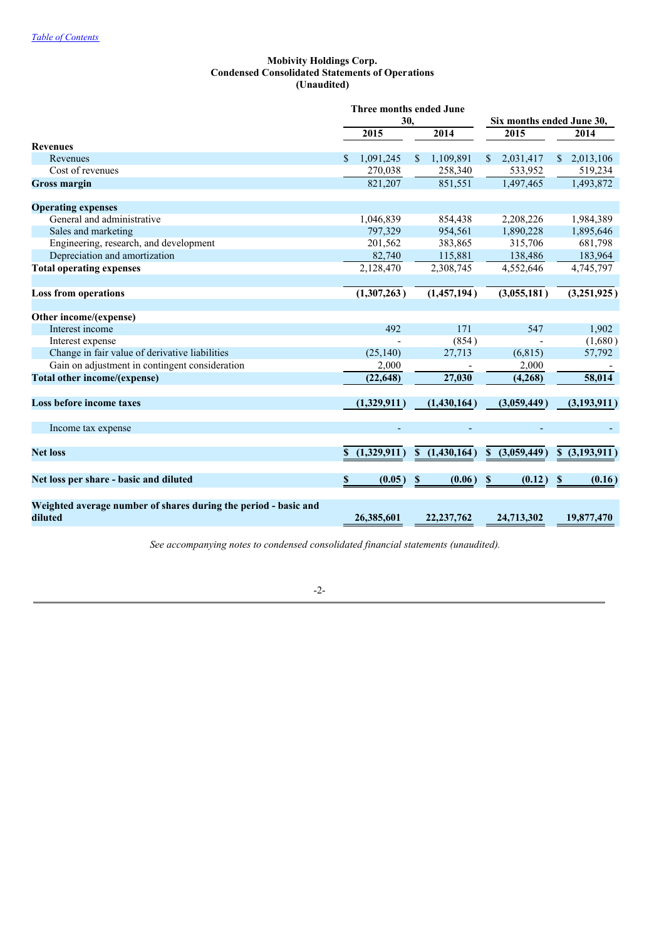#### <span id="page-3-0"></span>**Mobivity Holdings Corp. Condensed Consolidated Statements of Operations (Unaudited)**

| Three months ended June |           |                                                                                                                                   |               |                                                                                   |             |                                                                                                        |                                     |  |
|-------------------------|-----------|-----------------------------------------------------------------------------------------------------------------------------------|---------------|-----------------------------------------------------------------------------------|-------------|--------------------------------------------------------------------------------------------------------|-------------------------------------|--|
|                         |           |                                                                                                                                   |               |                                                                                   |             |                                                                                                        |                                     |  |
|                         | 2015      |                                                                                                                                   | 2014          |                                                                                   | 2015        |                                                                                                        | 2014                                |  |
|                         |           |                                                                                                                                   |               |                                                                                   |             |                                                                                                        |                                     |  |
|                         | 1,091,245 | \$                                                                                                                                | 1,109,891     | <sup>S</sup>                                                                      | 2,031,417   | \$                                                                                                     | 2,013,106                           |  |
|                         | 270,038   |                                                                                                                                   | 258,340       |                                                                                   | 533,952     |                                                                                                        | 519,234                             |  |
|                         | 821,207   |                                                                                                                                   | 851,551       |                                                                                   | 1,497,465   |                                                                                                        | 1,493,872                           |  |
|                         |           |                                                                                                                                   |               |                                                                                   |             |                                                                                                        |                                     |  |
|                         |           |                                                                                                                                   |               |                                                                                   |             |                                                                                                        | 1,984,389                           |  |
|                         |           |                                                                                                                                   |               |                                                                                   |             |                                                                                                        | 1,895,646                           |  |
|                         |           |                                                                                                                                   |               |                                                                                   |             |                                                                                                        | 681,798                             |  |
|                         |           |                                                                                                                                   |               |                                                                                   |             |                                                                                                        | 183,964                             |  |
|                         | 2,128,470 |                                                                                                                                   | 2,308,745     |                                                                                   | 4,552,646   |                                                                                                        | 4,745,797                           |  |
|                         |           |                                                                                                                                   |               |                                                                                   |             |                                                                                                        |                                     |  |
|                         |           |                                                                                                                                   | (1,457,194)   |                                                                                   | (3,055,181) |                                                                                                        | (3,251,925)                         |  |
|                         |           |                                                                                                                                   |               |                                                                                   |             |                                                                                                        |                                     |  |
|                         |           |                                                                                                                                   |               |                                                                                   |             |                                                                                                        | 1,902                               |  |
|                         |           |                                                                                                                                   |               |                                                                                   |             |                                                                                                        | (1,680)                             |  |
|                         |           |                                                                                                                                   |               |                                                                                   |             |                                                                                                        | 57,792                              |  |
|                         |           |                                                                                                                                   |               |                                                                                   |             |                                                                                                        |                                     |  |
|                         | (22, 648) |                                                                                                                                   | 27,030        |                                                                                   | (4,268)     |                                                                                                        | 58,014                              |  |
|                         |           |                                                                                                                                   |               |                                                                                   |             |                                                                                                        |                                     |  |
|                         |           |                                                                                                                                   |               |                                                                                   |             |                                                                                                        | (3,193,911)                         |  |
|                         |           |                                                                                                                                   |               |                                                                                   |             |                                                                                                        |                                     |  |
| \$                      |           | \$                                                                                                                                | (1,430,164)   | $\mathbf{s}$                                                                      |             |                                                                                                        | \$ (3,193,911)                      |  |
| \$                      |           | $\mathbf{\$}$                                                                                                                     |               |                                                                                   |             | $\mathbf{s}$                                                                                           | (0.16)                              |  |
|                         |           |                                                                                                                                   |               |                                                                                   |             |                                                                                                        |                                     |  |
|                         |           |                                                                                                                                   | 22, 237, 762  |                                                                                   | 24,713,302  |                                                                                                        | 19,877,470                          |  |
|                         |           | 1,046,839<br>797,329<br>201,562<br>82,740<br>(1,307,263)<br>492<br>(25, 140)<br>2,000<br>(1,329,911)<br>(1,329,911)<br>26,385,601 | 30,<br>(0.05) | 854,438<br>954,561<br>383,865<br>115,881<br>171<br>(854)<br>27,713<br>(1,430,164) | $(0.06)$ \$ | 2,208,226<br>1,890,228<br>315,706<br>138,486<br>547<br>(6, 815)<br>2,000<br>(3,059,449)<br>(3,059,449) | Six months ended June 30,<br>(0.12) |  |

*See accompanying notes to condensed consolidated financial statements (unaudited).*

## -2-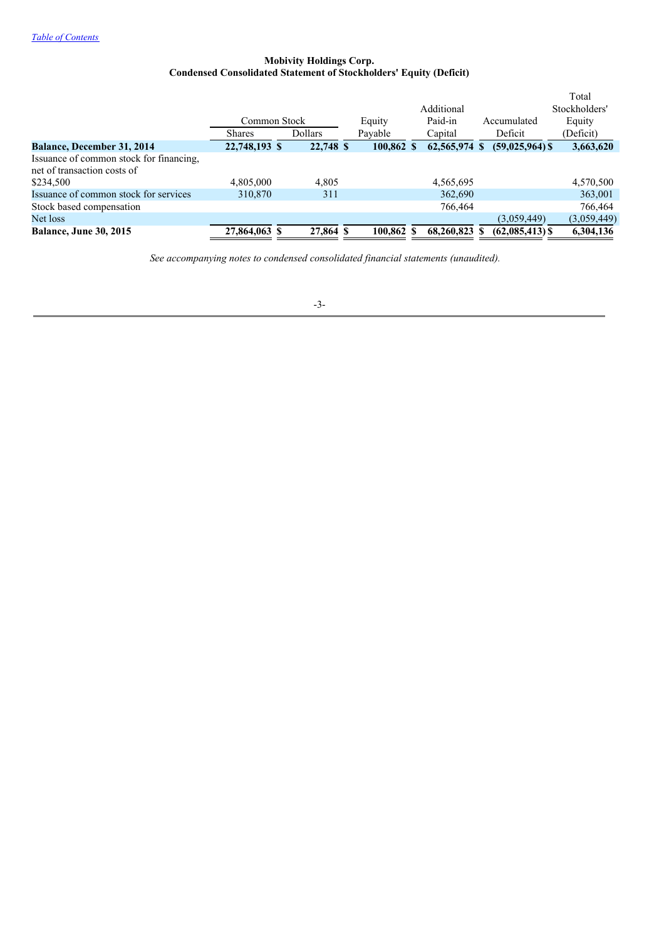#### <span id="page-4-0"></span>**Mobivity Holdings Corp. Condensed Consolidated Statement of Stockholders' Equity (Deficit)**

|                                                                        | Common Stock  |           | Equity     | Additional<br>Paid-in | Accumulated       | Total<br>Stockholders'<br>Equity |
|------------------------------------------------------------------------|---------------|-----------|------------|-----------------------|-------------------|----------------------------------|
|                                                                        | <b>Shares</b> | Dollars   | Payable    | Capital               | Deficit           | (Deficit)                        |
| Balance, December 31, 2014                                             | 22,748,193 \$ | 22,748 \$ | 100.862 S  | 62,565,974 \$         | $(59,025,964)$ \$ | 3,663,620                        |
| Issuance of common stock for financing.<br>net of transaction costs of |               |           |            |                       |                   |                                  |
| \$234,500                                                              | 4,805,000     | 4.805     |            | 4,565,695             |                   | 4,570,500                        |
| Issuance of common stock for services                                  | 310,870       | 311       |            | 362,690               |                   | 363,001                          |
| Stock based compensation                                               |               |           |            | 766,464               |                   | 766,464                          |
| Net loss                                                               |               |           |            |                       | (3,059,449)       | (3,059,449)                      |
| <b>Balance, June 30, 2015</b>                                          | 27,864,063 \$ | 27,864 \$ | 100,862 \$ | 68,260,823 \$         | $(62,085,413)$ \$ | 6,304,136                        |

*See accompanying notes to condensed consolidated financial statements (unaudited).*

## -3-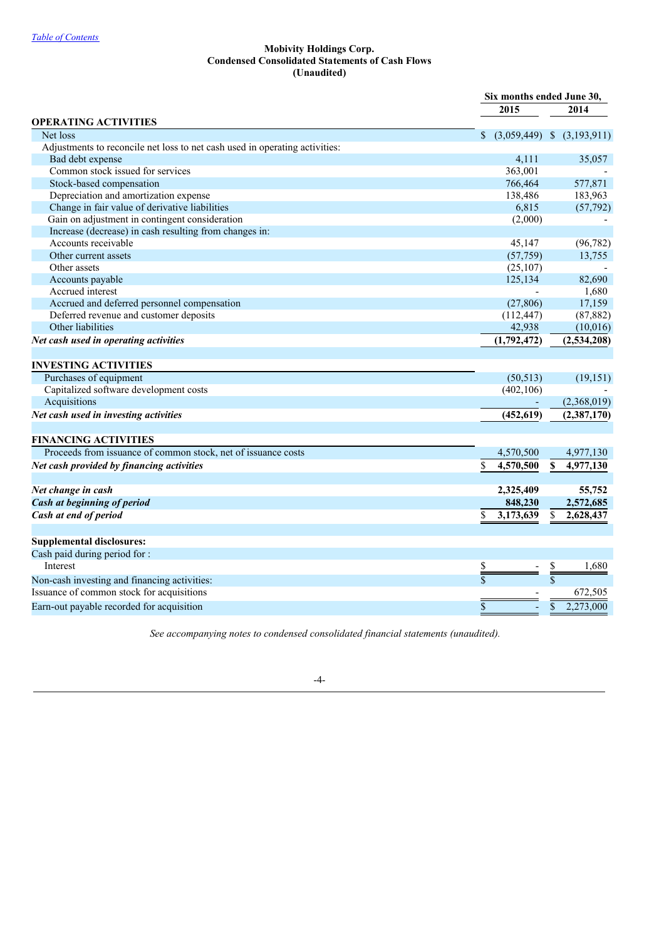## <span id="page-5-0"></span>**Mobivity Holdings Corp. Condensed Consolidated Statements of Cash Flows (Unaudited)**

|                                                                             | Six months ended June 30, |                                        |
|-----------------------------------------------------------------------------|---------------------------|----------------------------------------|
|                                                                             | 2015                      | 2014                                   |
| <b>OPERATING ACTIVITIES</b>                                                 |                           |                                        |
| Net loss                                                                    | (3,059,449)<br>\$         | \$(3,193,911)                          |
| Adjustments to reconcile net loss to net cash used in operating activities: |                           |                                        |
| Bad debt expense                                                            | 4,111                     | 35,057                                 |
| Common stock issued for services                                            | 363,001                   |                                        |
| Stock-based compensation                                                    | 766,464                   | 577,871                                |
| Depreciation and amortization expense                                       | 138,486                   | 183,963                                |
| Change in fair value of derivative liabilities                              | 6,815                     | (57, 792)                              |
| Gain on adjustment in contingent consideration                              | (2,000)                   |                                        |
| Increase (decrease) in cash resulting from changes in:                      |                           |                                        |
| Accounts receivable                                                         | 45,147                    | (96, 782)                              |
| Other current assets                                                        | (57, 759)                 | 13,755                                 |
| Other assets                                                                | (25,107)                  |                                        |
| Accounts payable                                                            | 125,134                   | 82,690                                 |
| Accrued interest                                                            |                           | 1,680                                  |
| Accrued and deferred personnel compensation                                 | (27, 806)                 | 17,159                                 |
| Deferred revenue and customer deposits                                      | (112, 447)                | (87, 882)                              |
| Other liabilities                                                           | 42,938                    | (10,016)                               |
| Net cash used in operating activities                                       | (1,792,472)               | (2,534,208)                            |
|                                                                             |                           |                                        |
| <b>INVESTING ACTIVITIES</b>                                                 |                           |                                        |
| Purchases of equipment                                                      | (50, 513)                 | (19, 151)                              |
| Capitalized software development costs                                      | (402, 106)                |                                        |
| Acquisitions                                                                |                           | (2,368,019)                            |
| Net cash used in investing activities                                       | (452, 619)                | (2, 387, 170)                          |
| <b>FINANCING ACTIVITIES</b>                                                 |                           |                                        |
| Proceeds from issuance of common stock, net of issuance costs               | 4,570,500                 | 4,977,130                              |
|                                                                             | \$                        | $\boldsymbol{\mathsf{S}}$<br>4,977,130 |
| Net cash provided by financing activities                                   | 4,570,500                 |                                        |
| Net change in cash                                                          | 2,325,409                 | 55,752                                 |
| <b>Cash at beginning of period</b>                                          | 848,230                   | 2,572,685                              |
| Cash at end of period                                                       | \$<br>3,173,639           | \$<br>2,628,437                        |
|                                                                             |                           |                                        |
| <b>Supplemental disclosures:</b>                                            |                           |                                        |
| Cash paid during period for :                                               |                           |                                        |
| Interest                                                                    | \$                        | 1.680                                  |
| Non-cash investing and financing activities:                                | \$                        | \$                                     |
| Issuance of common stock for acquisitions                                   |                           | 672,505                                |
| Earn-out payable recorded for acquisition                                   | \$                        | 2.273,000<br>\$                        |

*See accompanying notes to condensed consolidated financial statements (unaudited).*

## -4-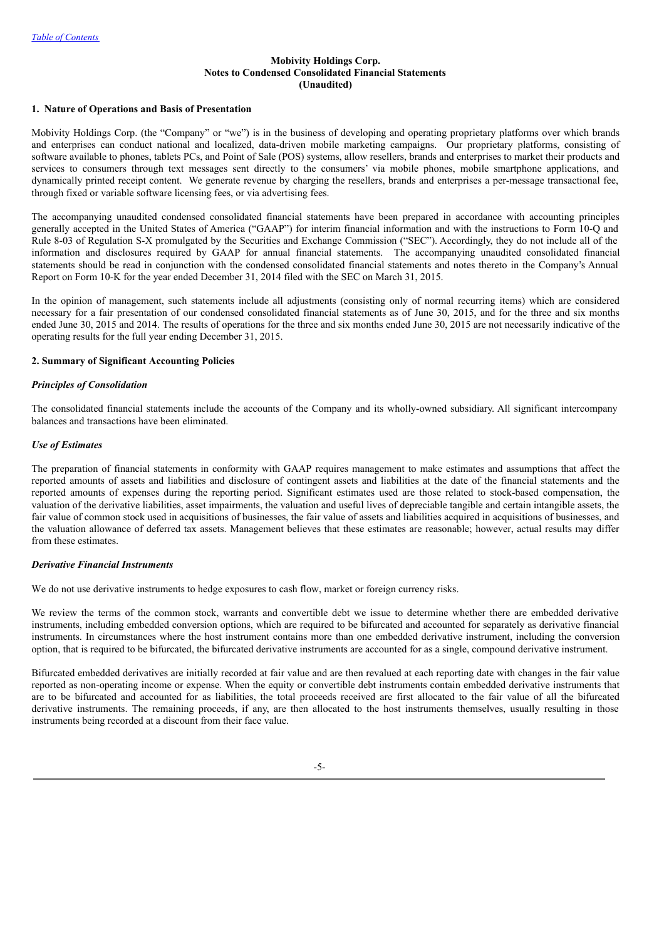#### <span id="page-6-0"></span>**Mobivity Holdings Corp. Notes to Condensed Consolidated Financial Statements (Unaudited)**

#### **1. Nature of Operations and Basis of Presentation**

Mobivity Holdings Corp. (the "Company" or "we") is in the business of developing and operating proprietary platforms over which brands and enterprises can conduct national and localized, data-driven mobile marketing campaigns. Our proprietary platforms, consisting of software available to phones, tablets PCs, and Point of Sale (POS) systems, allow resellers, brands and enterprises to market their products and services to consumers through text messages sent directly to the consumers' via mobile phones, mobile smartphone applications, and dynamically printed receipt content. We generate revenue by charging the resellers, brands and enterprises a per-message transactional fee, through fixed or variable software licensing fees, or via advertising fees.

The accompanying unaudited condensed consolidated financial statements have been prepared in accordance with accounting principles generally accepted in the United States of America ("GAAP") for interim financial information and with the instructions to Form 10-Q and Rule 8-03 of Regulation S-X promulgated by the Securities and Exchange Commission ("SEC"). Accordingly, they do not include all of the information and disclosures required by GAAP for annual financial statements. The accompanying unaudited consolidated financial statements should be read in conjunction with the condensed consolidated financial statements and notes thereto in the Company's Annual Report on Form 10-K for the year ended December 31, 2014 filed with the SEC on March 31, 2015.

In the opinion of management, such statements include all adjustments (consisting only of normal recurring items) which are considered necessary for a fair presentation of our condensed consolidated financial statements as of June 30, 2015, and for the three and six months ended June 30, 2015 and 2014. The results of operations for the three and six months ended June 30, 2015 are not necessarily indicative of the operating results for the full year ending December 31, 2015.

### **2. Summary of Significant Accounting Policies**

#### *Principles of Consolidation*

The consolidated financial statements include the accounts of the Company and its wholly-owned subsidiary. All significant intercompany balances and transactions have been eliminated.

#### *Use of Estimates*

The preparation of financial statements in conformity with GAAP requires management to make estimates and assumptions that affect the reported amounts of assets and liabilities and disclosure of contingent assets and liabilities at the date of the financial statements and the reported amounts of expenses during the reporting period. Significant estimates used are those related to stock-based compensation, the valuation of the derivative liabilities, asset impairments, the valuation and useful lives of depreciable tangible and certain intangible assets, the fair value of common stock used in acquisitions of businesses, the fair value of assets and liabilities acquired in acquisitions of businesses, and the valuation allowance of deferred tax assets. Management believes that these estimates are reasonable; however, actual results may differ from these estimates.

#### *Derivative Financial Instruments*

We do not use derivative instruments to hedge exposures to cash flow, market or foreign currency risks.

We review the terms of the common stock, warrants and convertible debt we issue to determine whether there are embedded derivative instruments, including embedded conversion options, which are required to be bifurcated and accounted for separately as derivative financial instruments. In circumstances where the host instrument contains more than one embedded derivative instrument, including the conversion option, that is required to be bifurcated, the bifurcated derivative instruments are accounted for as a single, compound derivative instrument.

Bifurcated embedded derivatives are initially recorded at fair value and are then revalued at each reporting date with changes in the fair value reported as non-operating income or expense. When the equity or convertible debt instruments contain embedded derivative instruments that are to be bifurcated and accounted for as liabilities, the total proceeds received are first allocated to the fair value of all the bifurcated derivative instruments. The remaining proceeds, if any, are then allocated to the host instruments themselves, usually resulting in those instruments being recorded at a discount from their face value.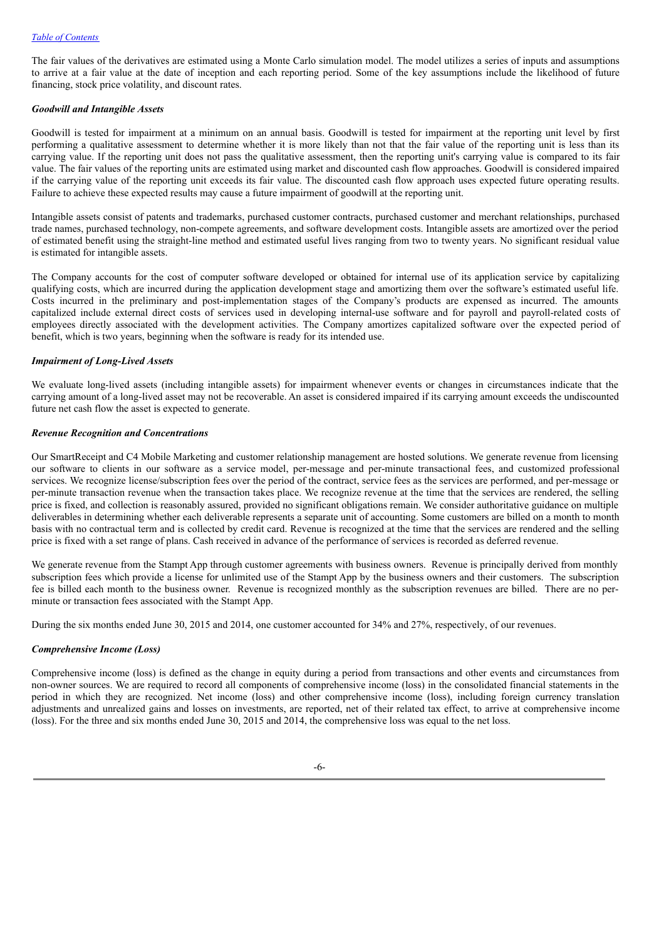The fair values of the derivatives are estimated using a Monte Carlo simulation model. The model utilizes a series of inputs and assumptions to arrive at a fair value at the date of inception and each reporting period. Some of the key assumptions include the likelihood of future financing, stock price volatility, and discount rates.

#### *Goodwill and Intangible Assets*

Goodwill is tested for impairment at a minimum on an annual basis. Goodwill is tested for impairment at the reporting unit level by first performing a qualitative assessment to determine whether it is more likely than not that the fair value of the reporting unit is less than its carrying value. If the reporting unit does not pass the qualitative assessment, then the reporting unit's carrying value is compared to its fair value. The fair values of the reporting units are estimated using market and discounted cash flow approaches. Goodwill is considered impaired if the carrying value of the reporting unit exceeds its fair value. The discounted cash flow approach uses expected future operating results. Failure to achieve these expected results may cause a future impairment of goodwill at the reporting unit.

Intangible assets consist of patents and trademarks, purchased customer contracts, purchased customer and merchant relationships, purchased trade names, purchased technology, non-compete agreements, and software development costs. Intangible assets are amortized over the period of estimated benefit using the straight-line method and estimated useful lives ranging from two to twenty years. No significant residual value is estimated for intangible assets.

The Company accounts for the cost of computer software developed or obtained for internal use of its application service by capitalizing qualifying costs, which are incurred during the application development stage and amortizing them over the software's estimated useful life. Costs incurred in the preliminary and post-implementation stages of the Company's products are expensed as incurred. The amounts capitalized include external direct costs of services used in developing internal-use software and for payroll and payroll-related costs of employees directly associated with the development activities. The Company amortizes capitalized software over the expected period of benefit, which is two years, beginning when the software is ready for its intended use.

#### *Impairment of Long-Lived Assets*

We evaluate long-lived assets (including intangible assets) for impairment whenever events or changes in circumstances indicate that the carrying amount of a long-lived asset may not be recoverable. An asset is considered impaired if its carrying amount exceeds the undiscounted future net cash flow the asset is expected to generate.

#### *Revenue Recognition and Concentrations*

Our SmartReceipt and C4 Mobile Marketing and customer relationship management are hosted solutions. We generate revenue from licensing our software to clients in our software as a service model, per-message and per-minute transactional fees, and customized professional services. We recognize license/subscription fees over the period of the contract, service fees as the services are performed, and per-message or per-minute transaction revenue when the transaction takes place. We recognize revenue at the time that the services are rendered, the selling price is fixed, and collection is reasonably assured, provided no significant obligations remain. We consider authoritative guidance on multiple deliverables in determining whether each deliverable represents a separate unit of accounting. Some customers are billed on a month to month basis with no contractual term and is collected by credit card. Revenue is recognized at the time that the services are rendered and the selling price is fixed with a set range of plans. Cash received in advance of the performance of services is recorded as deferred revenue.

We generate revenue from the Stampt App through customer agreements with business owners. Revenue is principally derived from monthly subscription fees which provide a license for unlimited use of the Stampt App by the business owners and their customers. The subscription fee is billed each month to the business owner. Revenue is recognized monthly as the subscription revenues are billed. There are no perminute or transaction fees associated with the Stampt App.

During the six months ended June 30, 2015 and 2014, one customer accounted for 34% and 27%, respectively, of our revenues.

#### *Comprehensive Income (Loss)*

Comprehensive income (loss) is defined as the change in equity during a period from transactions and other events and circumstances from non-owner sources. We are required to record all components of comprehensive income (loss) in the consolidated financial statements in the period in which they are recognized. Net income (loss) and other comprehensive income (loss), including foreign currency translation adjustments and unrealized gains and losses on investments, are reported, net of their related tax effect, to arrive at comprehensive income (loss). For the three and six months ended June 30, 2015 and 2014, the comprehensive loss was equal to the net loss.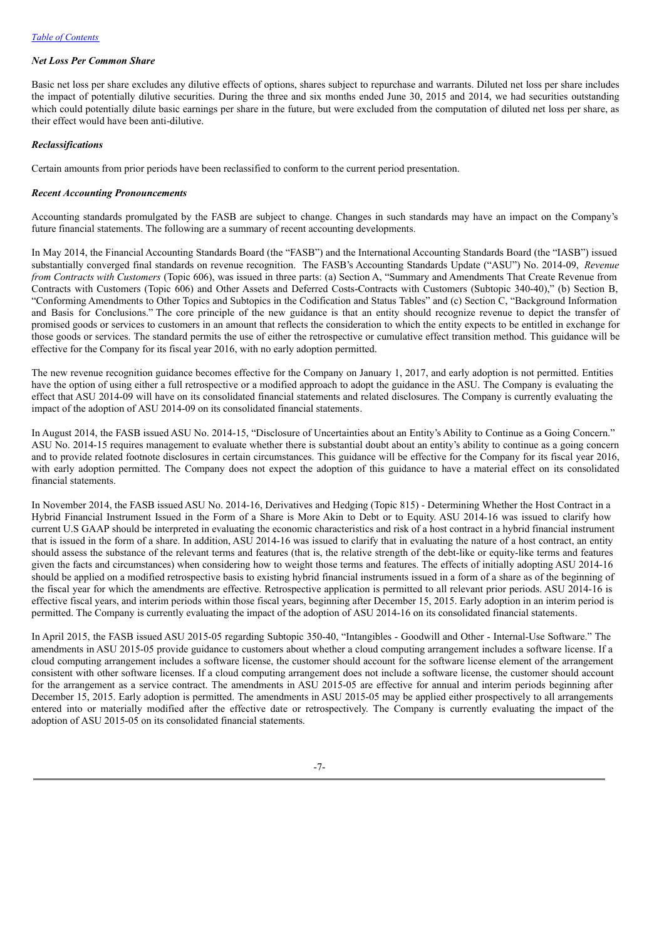#### *Net Loss Per Common Share*

Basic net loss per share excludes any dilutive effects of options, shares subject to repurchase and warrants. Diluted net loss per share includes the impact of potentially dilutive securities. During the three and six months ended June 30, 2015 and 2014, we had securities outstanding which could potentially dilute basic earnings per share in the future, but were excluded from the computation of diluted net loss per share, as their effect would have been anti-dilutive.

## *Reclassifications*

Certain amounts from prior periods have been reclassified to conform to the current period presentation.

#### *Recent Accounting Pronouncements*

Accounting standards promulgated by the FASB are subject to change. Changes in such standards may have an impact on the Company's future financial statements. The following are a summary of recent accounting developments.

In May 2014, the Financial Accounting Standards Board (the "FASB") and the International Accounting Standards Board (the "IASB") issued substantially converged final standards on revenue recognition. The FASB's Accounting Standards Update ("ASU") No. 2014-09, *Revenue from Contracts with Customers* (Topic 606), was issued in three parts: (a) Section A, "Summary and Amendments That Create Revenue from Contracts with Customers (Topic 606) and Other Assets and Deferred Costs-Contracts with Customers (Subtopic 340-40)," (b) Section B, "Conforming Amendments to Other Topics and Subtopics in the Codification and Status Tables" and (c) Section C, "Background Information and Basis for Conclusions." The core principle of the new guidance is that an entity should recognize revenue to depict the transfer of promised goods or services to customers in an amount that reflects the consideration to which the entity expects to be entitled in exchange for those goods or services. The standard permits the use of either the retrospective or cumulative effect transition method. This guidance will be effective for the Company for its fiscal year 2016, with no early adoption permitted.

The new revenue recognition guidance becomes effective for the Company on January 1, 2017, and early adoption is not permitted. Entities have the option of using either a full retrospective or a modified approach to adopt the guidance in the ASU. The Company is evaluating the effect that ASU 2014-09 will have on its consolidated financial statements and related disclosures. The Company is currently evaluating the impact of the adoption of ASU 2014-09 on its consolidated financial statements.

In August 2014, the FASB issued ASU No. 2014-15, "Disclosure of Uncertainties about an Entity's Ability to Continue as a Going Concern." ASU No. 2014-15 requires management to evaluate whether there is substantial doubt about an entity's ability to continue as a going concern and to provide related footnote disclosures in certain circumstances. This guidance will be effective for the Company for its fiscal year 2016, with early adoption permitted. The Company does not expect the adoption of this guidance to have a material effect on its consolidated financial statements.

In November 2014, the FASB issued ASU No. 2014-16, Derivatives and Hedging (Topic 815) - Determining Whether the Host Contract in a Hybrid Financial Instrument Issued in the Form of a Share is More Akin to Debt or to Equity. ASU 2014-16 was issued to clarify how current U.S GAAP should be interpreted in evaluating the economic characteristics and risk of a host contract in a hybrid financial instrument that is issued in the form of a share. In addition, ASU 2014-16 was issued to clarify that in evaluating the nature of a host contract, an entity should assess the substance of the relevant terms and features (that is, the relative strength of the debt-like or equity-like terms and features given the facts and circumstances) when considering how to weight those terms and features. The effects of initially adopting ASU 2014-16 should be applied on a modified retrospective basis to existing hybrid financial instruments issued in a form of a share as of the beginning of the fiscal year for which the amendments are effective. Retrospective application is permitted to all relevant prior periods. ASU 2014-16 is effective fiscal years, and interim periods within those fiscal years, beginning after December 15, 2015. Early adoption in an interim period is permitted. The Company is currently evaluating the impact of the adoption of ASU 2014-16 on its consolidated financial statements.

In April 2015, the FASB issued ASU 2015-05 regarding Subtopic 350-40, "Intangibles - Goodwill and Other - Internal-Use Software." The amendments in ASU 2015-05 provide guidance to customers about whether a cloud computing arrangement includes a software license. If a cloud computing arrangement includes a software license, the customer should account for the software license element of the arrangement consistent with other software licenses. If a cloud computing arrangement does not include a software license, the customer should account for the arrangement as a service contract. The amendments in ASU 2015-05 are effective for annual and interim periods beginning after December 15, 2015. Early adoption is permitted. The amendments in ASU 2015-05 may be applied either prospectively to all arrangements entered into or materially modified after the effective date or retrospectively. The Company is currently evaluating the impact of the adoption of ASU 2015-05 on its consolidated financial statements.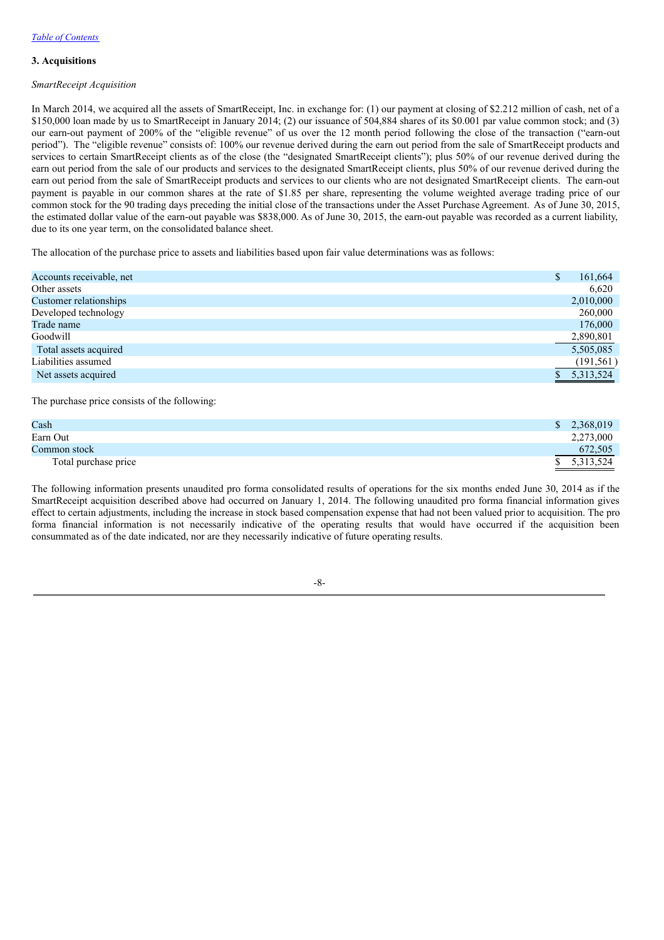#### **3. Acquisitions**

#### *SmartReceipt Acquisition*

In March 2014, we acquired all the assets of SmartReceipt, Inc. in exchange for: (1) our payment at closing of \$2.212 million of cash, net of a \$150,000 loan made by us to SmartReceipt in January 2014; (2) our issuance of 504,884 shares of its \$0.001 par value common stock; and (3) our earn-out payment of 200% of the "eligible revenue" of us over the 12 month period following the close of the transaction ("earn-out period"). The "eligible revenue" consists of: 100% our revenue derived during the earn out period from the sale of SmartReceipt products and services to certain SmartReceipt clients as of the close (the "designated SmartReceipt clients"); plus 50% of our revenue derived during the earn out period from the sale of our products and services to the designated SmartReceipt clients, plus 50% of our revenue derived during the earn out period from the sale of SmartReceipt products and services to our clients who are not designated SmartReceipt clients. The earn-out payment is payable in our common shares at the rate of \$1.85 per share, representing the volume weighted average trading price of our common stock for the 90 trading days preceding the initial close of the transactions under the Asset Purchase Agreement. As of June 30, 2015, the estimated dollar value of the earn-out payable was \$838,000. As of June 30, 2015, the earn-out payable was recorded as a current liability, due to its one year term, on the consolidated balance sheet.

The allocation of the purchase price to assets and liabilities based upon fair value determinations was as follows:

| Accounts receivable, net | 161,664    |
|--------------------------|------------|
| Other assets             | 6,620      |
| Customer relationships   | 2,010,000  |
| Developed technology     | 260,000    |
| Trade name               | 176,000    |
| Goodwill                 | 2,890,801  |
| Total assets acquired    | 5,505,085  |
| Liabilities assumed      | (191, 561) |
| Net assets acquired      | 5,313,524  |
|                          |            |

The purchase price consists of the following:

| Cash                 | \$2,368,019 |
|----------------------|-------------|
| Earn Out             | 2,273,000   |
| Common stock         | 672,505     |
| Total purchase price | 5,313,524   |

The following information presents unaudited pro forma consolidated results of operations for the six months ended June 30, 2014 as if the SmartReceipt acquisition described above had occurred on January 1, 2014. The following unaudited pro forma financial information gives effect to certain adjustments, including the increase in stock based compensation expense that had not been valued prior to acquisition. The pro forma financial information is not necessarily indicative of the operating results that would have occurred if the acquisition been consummated as of the date indicated, nor are they necessarily indicative of future operating results.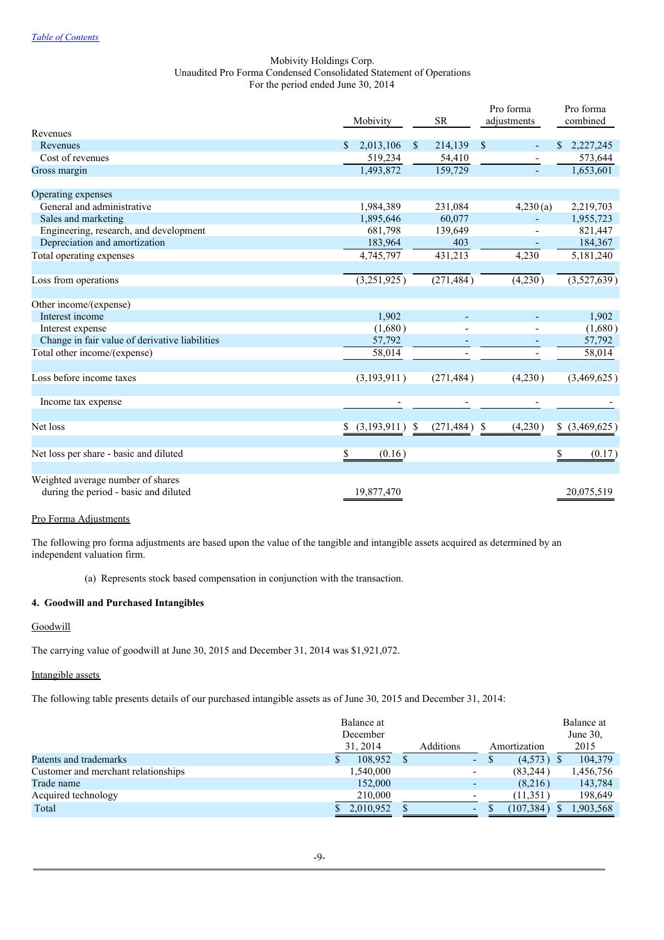#### Mobivity Holdings Corp. Unaudited Pro Forma Condensed Consolidated Statement of Operations For the period ended June 30, 2014

|                                                                            |                  |                         | Pro forma                      | Pro forma       |
|----------------------------------------------------------------------------|------------------|-------------------------|--------------------------------|-----------------|
|                                                                            | Mobivity         | <b>SR</b>               | adjustments                    | combined        |
| Revenues                                                                   |                  |                         |                                |                 |
| Revenues                                                                   | 2,013,106<br>S.  | $\mathbb{S}$<br>214,139 | $\mathbb{S}$<br>$\blacksquare$ | \$<br>2,227,245 |
| Cost of revenues                                                           | 519,234          | 54,410                  | $\overline{\phantom{a}}$       | 573,644         |
| Gross margin                                                               | 1,493,872        | 159,729                 |                                | 1,653,601       |
| Operating expenses                                                         |                  |                         |                                |                 |
| General and administrative                                                 | 1,984,389        | 231,084                 | 4,230(a)                       | 2,219,703       |
| Sales and marketing                                                        | 1,895,646        | 60,077                  |                                | 1,955,723       |
| Engineering, research, and development                                     | 681,798          | 139,649                 |                                | 821,447         |
| Depreciation and amortization                                              | 183,964          | 403                     |                                | 184,367         |
| Total operating expenses                                                   | 4,745,797        | 431,213                 | 4,230                          | 5,181,240       |
| Loss from operations                                                       | (3,251,925)      | (271, 484)              | (4,230)                        | (3,527,639)     |
| Other income/(expense)                                                     |                  |                         |                                |                 |
| Interest income                                                            | 1,902            |                         |                                | 1,902           |
| Interest expense                                                           | (1,680)          |                         |                                | (1,680)         |
| Change in fair value of derivative liabilities                             | 57,792           |                         |                                | 57,792          |
| Total other income/(expense)                                               | 58,014           |                         |                                | 58,014          |
| Loss before income taxes                                                   | (3,193,911)      | (271, 484)              | (4,230)                        | (3,469,625)     |
| Income tax expense                                                         |                  |                         | $\overline{\phantom{a}}$       |                 |
| Net loss                                                                   | (3,193,911)<br>S | $(271, 484)$ \$<br>-S   | (4,230)                        | \$ (3,469,625)  |
| Net loss per share - basic and diluted                                     | (0.16)<br>S      |                         |                                | (0.17)          |
| Weighted average number of shares<br>during the period - basic and diluted | 19,877,470       |                         |                                | 20,075,519      |

## Pro Forma Adjustments

The following pro forma adjustments are based upon the value of the tangible and intangible assets acquired as determined by an independent valuation firm.

(a) Represents stock based compensation in conjunction with the transaction.

## **4. Goodwill and Purchased Intangibles**

#### **Goodwill**

The carrying value of goodwill at June 30, 2015 and December 31, 2014 was \$1,921,072.

## Intangible assets

The following table presents details of our purchased intangible assets as of June 30, 2015 and December 31, 2014:

|                                     | Balance at<br>December |           |                          |              | Balance at<br>June 30, |
|-------------------------------------|------------------------|-----------|--------------------------|--------------|------------------------|
|                                     | 31, 2014               | Additions |                          | Amortization | 2015                   |
| Patents and trademarks              | 108.952                |           | ٠                        | (4,573)      | 104,379                |
| Customer and merchant relationships | 1,540,000              |           | ٠                        | (83, 244)    | 1,456,756              |
| Trade name                          | 152,000                |           | ٠                        | (8,216)      | 143,784                |
| Acquired technology                 | 210,000                |           | -                        | (11, 351)    | 198,649                |
| Total                               | 2,010,952              |           | $\overline{\phantom{0}}$ | (107, 384)   | 1,903,568              |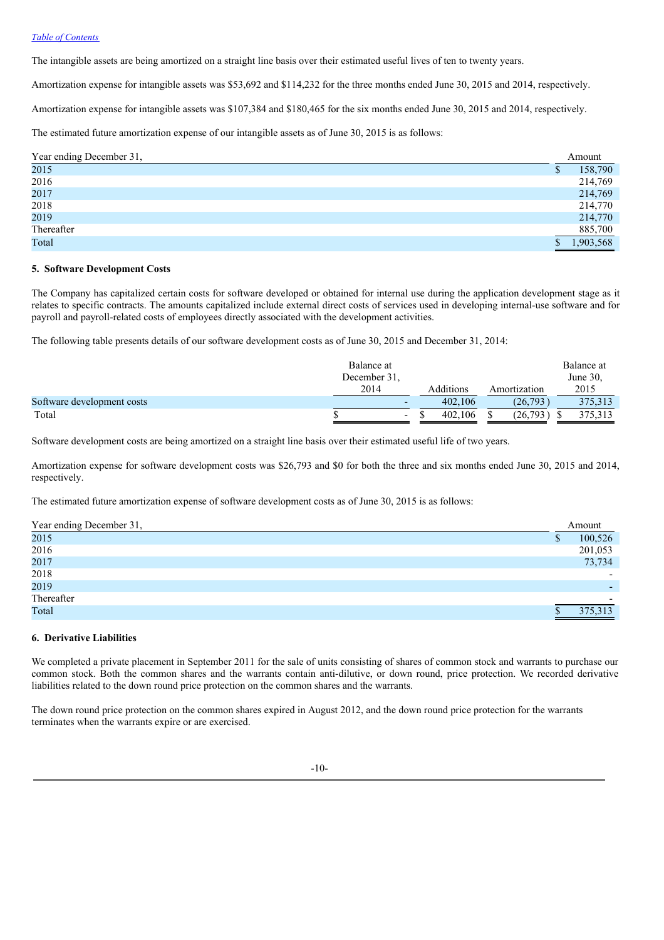#### *Table of [Contents](#page-1-0)*

The intangible assets are being amortized on a straight line basis over their estimated useful lives of ten to twenty years.

Amortization expense for intangible assets was \$53,692 and \$114,232 for the three months ended June 30, 2015 and 2014, respectively.

Amortization expense for intangible assets was \$107,384 and \$180,465 for the six months ended June 30, 2015 and 2014, respectively.

The estimated future amortization expense of our intangible assets as of June 30, 2015 is as follows:

| Year ending December 31, | Amount    |
|--------------------------|-----------|
| 2015                     | 158,790   |
| 2016                     | 214,769   |
| 2017                     | 214,769   |
| 2018                     | 214,770   |
| 2019                     | 214,770   |
| Thereafter               | 885,700   |
| Total                    | 1,903,568 |

#### **5. Software Development Costs**

The Company has capitalized certain costs for software developed or obtained for internal use during the application development stage as it relates to specific contracts. The amounts capitalized include external direct costs of services used in developing internal-use software and for payroll and payroll-related costs of employees directly associated with the development activities.

The following table presents details of our software development costs as of June 30, 2015 and December 31, 2014:

|                            | Balance at   |                          |           |              | Balance at |
|----------------------------|--------------|--------------------------|-----------|--------------|------------|
|                            | December 31. |                          |           |              | June 30,   |
|                            | 2014         |                          | Additions | Amortization | 2015       |
| Software development costs |              |                          | 402,106   | (26, 793)    | 375.313    |
| Total                      |              | $\overline{\phantom{0}}$ | 402,106   | (26, 793)    | 375.313    |

Software development costs are being amortized on a straight line basis over their estimated useful life of two years.

Amortization expense for software development costs was \$26,793 and \$0 for both the three and six months ended June 30, 2015 and 2014, respectively.

The estimated future amortization expense of software development costs as of June 30, 2015 is as follows:

| Year ending December 31, | Amount  |
|--------------------------|---------|
| 2015                     | 100,526 |
| 2016                     | 201,053 |
| 2017                     | 73,734  |
| 2018                     |         |
| 2019                     |         |
| Thereafter               |         |
| Total                    | 375.313 |

## **6. Derivative Liabilities**

We completed a private placement in September 2011 for the sale of units consisting of shares of common stock and warrants to purchase our common stock. Both the common shares and the warrants contain anti-dilutive, or down round, price protection. We recorded derivative liabilities related to the down round price protection on the common shares and the warrants.

The down round price protection on the common shares expired in August 2012, and the down round price protection for the warrants terminates when the warrants expire or are exercised.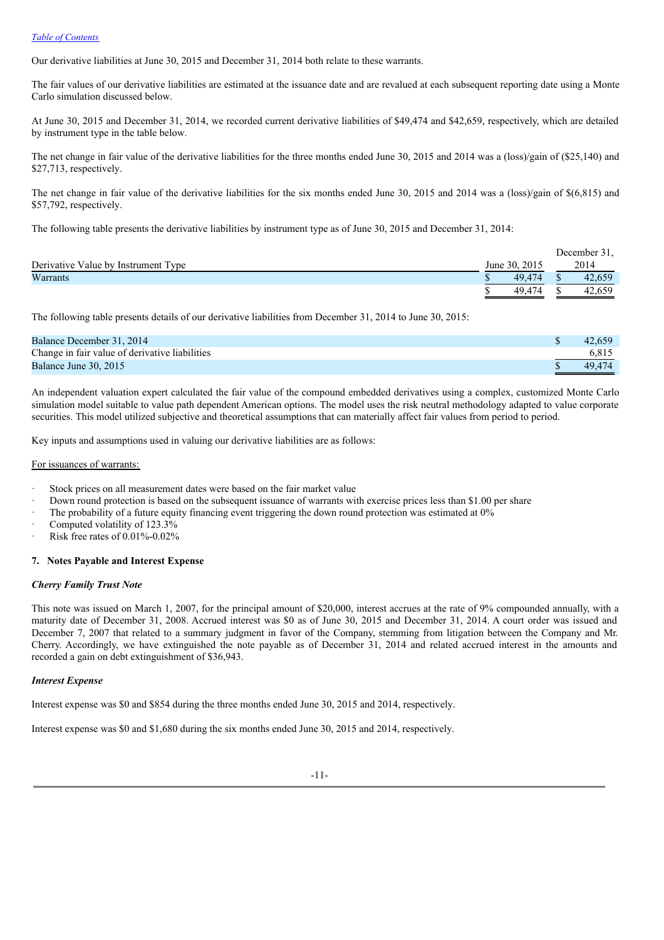#### *Table of [Contents](#page-1-0)*

Our derivative liabilities at June 30, 2015 and December 31, 2014 both relate to these warrants.

The fair values of our derivative liabilities are estimated at the issuance date and are revalued at each subsequent reporting date using a Monte Carlo simulation discussed below.

At June 30, 2015 and December 31, 2014, we recorded current derivative liabilities of \$49,474 and \$42,659, respectively, which are detailed by instrument type in the table below.

The net change in fair value of the derivative liabilities for the three months ended June 30, 2015 and 2014 was a (loss)/gain of (\$25,140) and \$27,713, respectively.

The net change in fair value of the derivative liabilities for the six months ended June 30, 2015 and 2014 was a (loss)/gain of \$(6,815) and \$57,792, respectively.

The following table presents the derivative liabilities by instrument type as of June 30, 2015 and December 31, 2014:

|                                     |               | December 31. |
|-------------------------------------|---------------|--------------|
| Derivative Value by Instrument Type | June 30, 2015 | 2014         |
| Warrants                            | 49.474        | 42.659       |
|                                     | 49.474        | 42,659       |

The following table presents details of our derivative liabilities from December 31, 2014 to June 30, 2015:

| Balance December 31, 2014                      | 42.659 |
|------------------------------------------------|--------|
| Change in fair value of derivative liabilities | 6,815  |
| Balance June 30, 2015                          | 49.474 |

An independent valuation expert calculated the fair value of the compound embedded derivatives using a complex, customized Monte Carlo simulation model suitable to value path dependent American options. The model uses the risk neutral methodology adapted to value corporate securities. This model utilized subjective and theoretical assumptions that can materially affect fair values from period to period.

Key inputs and assumptions used in valuing our derivative liabilities are as follows:

#### For issuances of warrants:

- Stock prices on all measurement dates were based on the fair market value
- Down round protection is based on the subsequent issuance of warrants with exercise prices less than \$1.00 per share
- · The probability of a future equity financing event triggering the down round protection was estimated at 0%
- Computed volatility of 123.3%
- Risk free rates of  $0.01\%$ -0.02%

#### **7. Notes Payable and Interest Expense**

#### *Cherry Family Trust Note*

This note was issued on March 1, 2007, for the principal amount of \$20,000, interest accrues at the rate of 9% compounded annually, with a maturity date of December 31, 2008. Accrued interest was \$0 as of June 30, 2015 and December 31, 2014. A court order was issued and December 7, 2007 that related to a summary judgment in favor of the Company, stemming from litigation between the Company and Mr. Cherry. Accordingly, we have extinguished the note payable as of December 31, 2014 and related accrued interest in the amounts and recorded a gain on debt extinguishment of \$36,943.

#### *Interest Expense*

Interest expense was \$0 and \$854 during the three months ended June 30, 2015 and 2014, respectively.

Interest expense was \$0 and \$1,680 during the six months ended June 30, 2015 and 2014, respectively.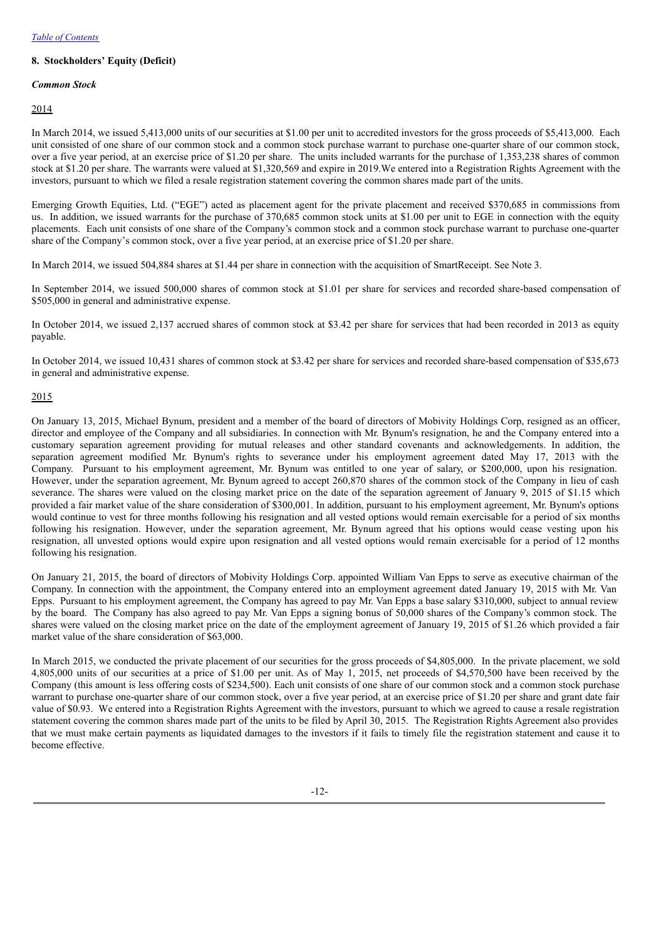## **8. Stockholders' Equity (Deficit)**

#### *Common Stock*

2014

In March 2014, we issued 5,413,000 units of our securities at \$1.00 per unit to accredited investors for the gross proceeds of \$5,413,000. Each unit consisted of one share of our common stock and a common stock purchase warrant to purchase one-quarter share of our common stock, over a five year period, at an exercise price of \$1.20 per share. The units included warrants for the purchase of 1,353,238 shares of common stock at \$1.20 per share. The warrants were valued at \$1,320,569 and expire in 2019.We entered into a Registration Rights Agreement with the investors, pursuant to which we filed a resale registration statement covering the common shares made part of the units.

Emerging Growth Equities, Ltd. ("EGE") acted as placement agent for the private placement and received \$370,685 in commissions from us. In addition, we issued warrants for the purchase of 370,685 common stock units at \$1.00 per unit to EGE in connection with the equity placements. Each unit consists of one share of the Company's common stock and a common stock purchase warrant to purchase one-quarter share of the Company's common stock, over a five year period, at an exercise price of \$1.20 per share.

In March 2014, we issued 504,884 shares at \$1.44 per share in connection with the acquisition of SmartReceipt. See Note 3.

In September 2014, we issued 500,000 shares of common stock at \$1.01 per share for services and recorded share-based compensation of \$505,000 in general and administrative expense.

In October 2014, we issued 2,137 accrued shares of common stock at \$3.42 per share for services that had been recorded in 2013 as equity payable.

In October 2014, we issued 10,431 shares of common stock at \$3.42 per share for services and recorded share-based compensation of \$35,673 in general and administrative expense.

#### 2015

On January 13, 2015, Michael Bynum, president and a member of the board of directors of Mobivity Holdings Corp, resigned as an officer, director and employee of the Company and all subsidiaries. In connection with Mr. Bynum's resignation, he and the Company entered into a customary separation agreement providing for mutual releases and other standard covenants and acknowledgements. In addition, the separation agreement modified Mr. Bynum's rights to severance under his employment agreement dated May 17, 2013 with the Company. Pursuant to his employment agreement, Mr. Bynum was entitled to one year of salary, or \$200,000, upon his resignation. However, under the separation agreement, Mr. Bynum agreed to accept 260,870 shares of the common stock of the Company in lieu of cash severance. The shares were valued on the closing market price on the date of the separation agreement of January 9, 2015 of \$1.15 which provided a fair market value of the share consideration of \$300,001. In addition, pursuant to his employment agreement, Mr. Bynum's options would continue to vest for three months following his resignation and all vested options would remain exercisable for a period of six months following his resignation. However, under the separation agreement, Mr. Bynum agreed that his options would cease vesting upon his resignation, all unvested options would expire upon resignation and all vested options would remain exercisable for a period of 12 months following his resignation.

On January 21, 2015, the board of directors of Mobivity Holdings Corp. appointed William Van Epps to serve as executive chairman of the Company. In connection with the appointment, the Company entered into an employment agreement dated January 19, 2015 with Mr. Van Epps. Pursuant to his employment agreement, the Company has agreed to pay Mr. Van Epps a base salary \$310,000, subject to annual review by the board. The Company has also agreed to pay Mr. Van Epps a signing bonus of 50,000 shares of the Company's common stock. The shares were valued on the closing market price on the date of the employment agreement of January 19, 2015 of \$1.26 which provided a fair market value of the share consideration of \$63,000.

In March 2015, we conducted the private placement of our securities for the gross proceeds of \$4,805,000. In the private placement, we sold 4,805,000 units of our securities at a price of \$1.00 per unit. As of May 1, 2015, net proceeds of \$4,570,500 have been received by the Company (this amount is less offering costs of \$234,500). Each unit consists of one share of our common stock and a common stock purchase warrant to purchase one-quarter share of our common stock, over a five year period, at an exercise price of \$1.20 per share and grant date fair value of \$0.93. We entered into a Registration Rights Agreement with the investors, pursuant to which we agreed to cause a resale registration statement covering the common shares made part of the units to be filed by April 30, 2015. The Registration Rights Agreement also provides that we must make certain payments as liquidated damages to the investors if it fails to timely file the registration statement and cause it to become effective.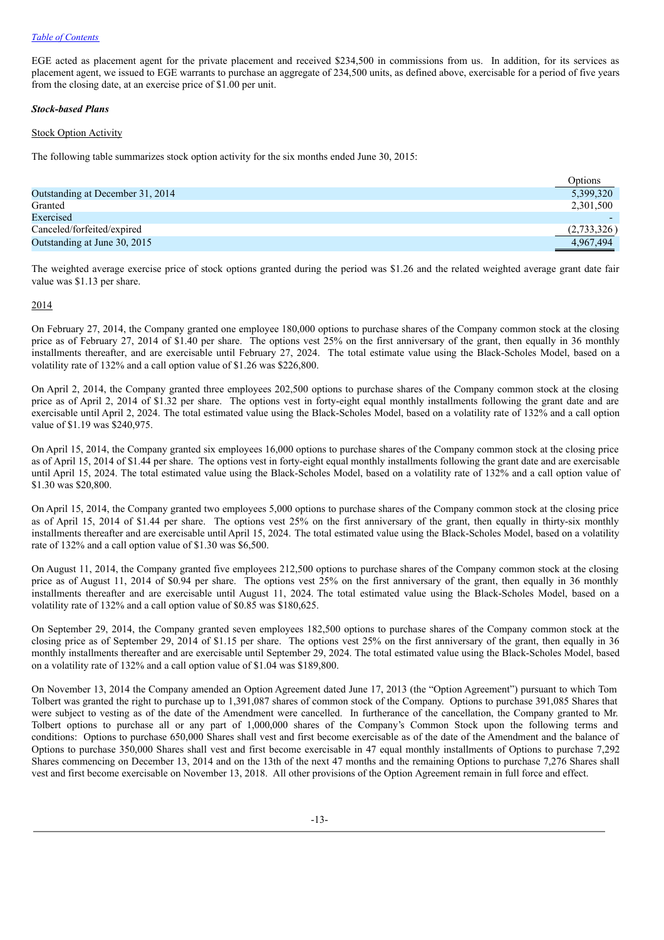EGE acted as placement agent for the private placement and received \$234,500 in commissions from us. In addition, for its services as placement agent, we issued to EGE warrants to purchase an aggregate of 234,500 units, as defined above, exercisable for a period of five years from the closing date, at an exercise price of \$1.00 per unit.

## *Stock-based Plans*

### Stock Option Activity

The following table summarizes stock option activity for the six months ended June 30, 2015:

|                                  | Options     |
|----------------------------------|-------------|
| Outstanding at December 31, 2014 | 5,399,320   |
| Granted                          | 2,301,500   |
| Exercised                        |             |
| Canceled/forfeited/expired       | (2,733,326) |
| Outstanding at June 30, 2015     | 4,967,494   |

The weighted average exercise price of stock options granted during the period was \$1.26 and the related weighted average grant date fair value was \$1.13 per share.

## 2014

On February 27, 2014, the Company granted one employee 180,000 options to purchase shares of the Company common stock at the closing price as of February 27, 2014 of \$1.40 per share. The options vest 25% on the first anniversary of the grant, then equally in 36 monthly installments thereafter, and are exercisable until February 27, 2024. The total estimate value using the Black-Scholes Model, based on a volatility rate of 132% and a call option value of \$1.26 was \$226,800.

On April 2, 2014, the Company granted three employees 202,500 options to purchase shares of the Company common stock at the closing price as of April 2, 2014 of \$1.32 per share. The options vest in forty-eight equal monthly installments following the grant date and are exercisable until April 2, 2024. The total estimated value using the Black-Scholes Model, based on a volatility rate of 132% and a call option value of \$1.19 was \$240,975.

On April 15, 2014, the Company granted six employees 16,000 options to purchase shares of the Company common stock at the closing price as of April 15, 2014 of \$1.44 per share. The options vest in forty-eight equal monthly installments following the grant date and are exercisable until April 15, 2024. The total estimated value using the Black-Scholes Model, based on a volatility rate of 132% and a call option value of \$1.30 was \$20,800.

On April 15, 2014, the Company granted two employees 5,000 options to purchase shares of the Company common stock at the closing price as of April 15, 2014 of \$1.44 per share. The options vest 25% on the first anniversary of the grant, then equally in thirty-six monthly installments thereafter and are exercisable until April 15, 2024. The total estimated value using the Black-Scholes Model, based on a volatility rate of 132% and a call option value of \$1.30 was \$6,500.

On August 11, 2014, the Company granted five employees 212,500 options to purchase shares of the Company common stock at the closing price as of August 11, 2014 of \$0.94 per share. The options vest 25% on the first anniversary of the grant, then equally in 36 monthly installments thereafter and are exercisable until August 11, 2024. The total estimated value using the Black-Scholes Model, based on a volatility rate of 132% and a call option value of \$0.85 was \$180,625.

On September 29, 2014, the Company granted seven employees 182,500 options to purchase shares of the Company common stock at the closing price as of September 29, 2014 of \$1.15 per share. The options vest 25% on the first anniversary of the grant, then equally in 36 monthly installments thereafter and are exercisable until September 29, 2024. The total estimated value using the Black-Scholes Model, based on a volatility rate of 132% and a call option value of \$1.04 was \$189,800.

On November 13, 2014 the Company amended an Option Agreement dated June 17, 2013 (the "Option Agreement") pursuant to which Tom Tolbert was granted the right to purchase up to 1,391,087 shares of common stock of the Company. Options to purchase 391,085 Shares that were subject to vesting as of the date of the Amendment were cancelled. In furtherance of the cancellation, the Company granted to Mr. Tolbert options to purchase all or any part of 1,000,000 shares of the Company's Common Stock upon the following terms and conditions: Options to purchase 650,000 Shares shall vest and first become exercisable as of the date of the Amendment and the balance of Options to purchase 350,000 Shares shall vest and first become exercisable in 47 equal monthly installments of Options to purchase 7,292 Shares commencing on December 13, 2014 and on the 13th of the next 47 months and the remaining Options to purchase 7,276 Shares shall vest and first become exercisable on November 13, 2018. All other provisions of the Option Agreement remain in full force and effect.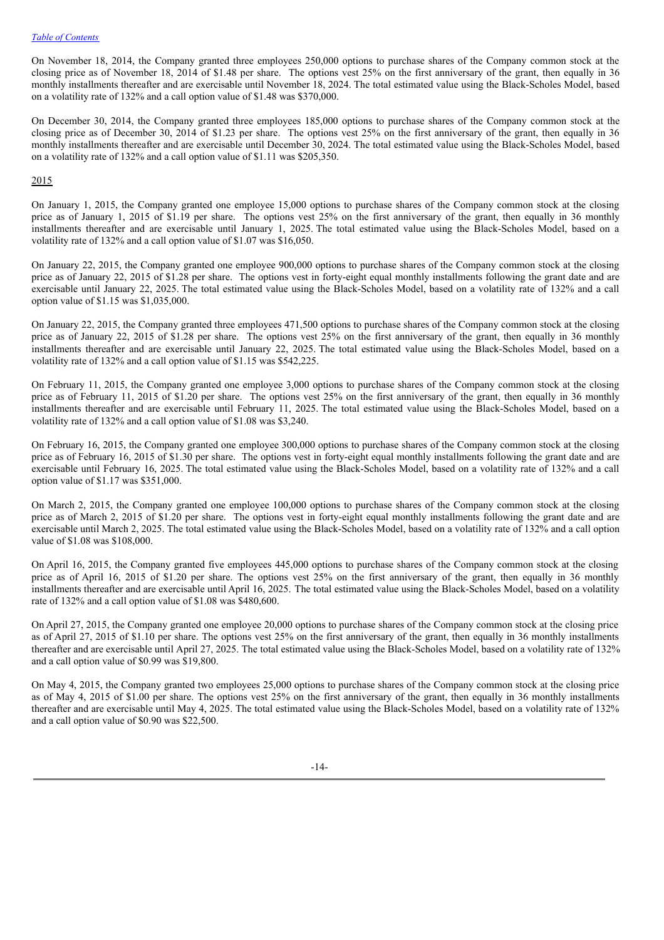On November 18, 2014, the Company granted three employees 250,000 options to purchase shares of the Company common stock at the closing price as of November 18, 2014 of \$1.48 per share. The options vest 25% on the first anniversary of the grant, then equally in 36 monthly installments thereafter and are exercisable until November 18, 2024. The total estimated value using the Black-Scholes Model, based on a volatility rate of 132% and a call option value of \$1.48 was \$370,000.

On December 30, 2014, the Company granted three employees 185,000 options to purchase shares of the Company common stock at the closing price as of December 30, 2014 of \$1.23 per share. The options vest 25% on the first anniversary of the grant, then equally in 36 monthly installments thereafter and are exercisable until December 30, 2024. The total estimated value using the Black-Scholes Model, based on a volatility rate of 132% and a call option value of \$1.11 was \$205,350.

#### 2015

On January 1, 2015, the Company granted one employee 15,000 options to purchase shares of the Company common stock at the closing price as of January 1, 2015 of \$1.19 per share. The options vest 25% on the first anniversary of the grant, then equally in 36 monthly installments thereafter and are exercisable until January 1, 2025. The total estimated value using the Black-Scholes Model, based on a volatility rate of 132% and a call option value of \$1.07 was \$16,050.

On January 22, 2015, the Company granted one employee 900,000 options to purchase shares of the Company common stock at the closing price as of January 22, 2015 of \$1.28 per share. The options vest in forty-eight equal monthly installments following the grant date and are exercisable until January 22, 2025. The total estimated value using the Black-Scholes Model, based on a volatility rate of 132% and a call option value of \$1.15 was \$1,035,000.

On January 22, 2015, the Company granted three employees 471,500 options to purchase shares of the Company common stock at the closing price as of January 22, 2015 of \$1.28 per share. The options vest 25% on the first anniversary of the grant, then equally in 36 monthly installments thereafter and are exercisable until January 22, 2025. The total estimated value using the Black-Scholes Model, based on a volatility rate of 132% and a call option value of \$1.15 was \$542,225.

On February 11, 2015, the Company granted one employee 3,000 options to purchase shares of the Company common stock at the closing price as of February 11, 2015 of \$1.20 per share. The options vest 25% on the first anniversary of the grant, then equally in 36 monthly installments thereafter and are exercisable until February 11, 2025. The total estimated value using the Black-Scholes Model, based on a volatility rate of 132% and a call option value of \$1.08 was \$3,240.

On February 16, 2015, the Company granted one employee 300,000 options to purchase shares of the Company common stock at the closing price as of February 16, 2015 of \$1.30 per share. The options vest in forty-eight equal monthly installments following the grant date and are exercisable until February 16, 2025. The total estimated value using the Black-Scholes Model, based on a volatility rate of 132% and a call option value of \$1.17 was \$351,000.

On March 2, 2015, the Company granted one employee 100,000 options to purchase shares of the Company common stock at the closing price as of March 2, 2015 of \$1.20 per share. The options vest in forty-eight equal monthly installments following the grant date and are exercisable until March 2, 2025. The total estimated value using the Black-Scholes Model, based on a volatility rate of 132% and a call option value of \$1.08 was \$108,000.

On April 16, 2015, the Company granted five employees 445,000 options to purchase shares of the Company common stock at the closing price as of April 16, 2015 of \$1.20 per share. The options vest 25% on the first anniversary of the grant, then equally in 36 monthly installments thereafter and are exercisable until April 16, 2025. The total estimated value using the Black-Scholes Model, based on a volatility rate of 132% and a call option value of \$1.08 was \$480,600.

On April 27, 2015, the Company granted one employee 20,000 options to purchase shares of the Company common stock at the closing price as of April 27, 2015 of \$1.10 per share. The options vest 25% on the first anniversary of the grant, then equally in 36 monthly installments thereafter and are exercisable until April 27, 2025. The total estimated value using the Black-Scholes Model, based on a volatility rate of 132% and a call option value of \$0.99 was \$19,800.

On May 4, 2015, the Company granted two employees 25,000 options to purchase shares of the Company common stock at the closing price as of May 4, 2015 of \$1.00 per share. The options vest 25% on the first anniversary of the grant, then equally in 36 monthly installments thereafter and are exercisable until May 4, 2025. The total estimated value using the Black-Scholes Model, based on a volatility rate of 132% and a call option value of \$0.90 was \$22,500.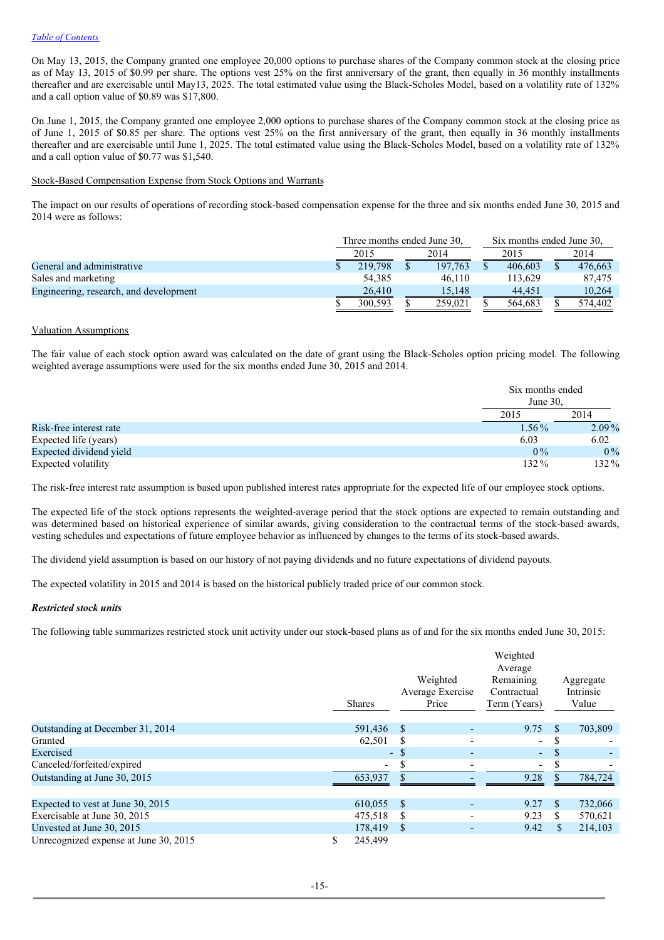On May 13, 2015, the Company granted one employee 20,000 options to purchase shares of the Company common stock at the closing price as of May 13, 2015 of \$0.99 per share. The options vest 25% on the first anniversary of the grant, then equally in 36 monthly installments thereafter and are exercisable until May13, 2025. The total estimated value using the Black-Scholes Model, based on a volatility rate of 132% and a call option value of \$0.89 was \$17,800.

On June 1, 2015, the Company granted one employee 2,000 options to purchase shares of the Company common stock at the closing price as of June 1, 2015 of \$0.85 per share. The options vest 25% on the first anniversary of the grant, then equally in 36 monthly installments thereafter and are exercisable until June 1, 2025. The total estimated value using the Black-Scholes Model, based on a volatility rate of 132% and a call option value of \$0.77 was \$1,540.

#### Stock-Based Compensation Expense from Stock Options and Warrants

The impact on our results of operations of recording stock-based compensation expense for the three and six months ended June 30, 2015 and 2014 were as follows:

|                                        | Three months ended June 30, |         |      |         |      | Six months ended June 30, |      |         |  |  |
|----------------------------------------|-----------------------------|---------|------|---------|------|---------------------------|------|---------|--|--|
|                                        | 2015                        |         | 2014 |         | 2015 |                           | 2014 |         |  |  |
| General and administrative             |                             | 219,798 |      | 197.763 |      | 406,603                   |      | 476,663 |  |  |
| Sales and marketing                    |                             | 54,385  |      | 46.110  |      | 113,629                   |      | 87.475  |  |  |
| Engineering, research, and development |                             | 26,410  |      | 15.148  |      | 44.451                    |      | 10.264  |  |  |
|                                        |                             | 300.593 |      | 259,021 |      | 564.683                   |      | 574,402 |  |  |

#### Valuation Assumptions

The fair value of each stock option award was calculated on the date of grant using the Black-Scholes option pricing model. The following weighted average assumptions were used for the six months ended June 30, 2015 and 2014.

|                         | Six months ended<br>June 30. |          |
|-------------------------|------------------------------|----------|
|                         | 2015                         | 2014     |
| Risk-free interest rate | $1.56\%$                     | $2.09\%$ |
| Expected life (years)   | 6.03                         | 6.02     |
| Expected dividend yield | $0\%$                        | $0\%$    |
| Expected volatility     | $132\%$                      | 132%     |

The risk-free interest rate assumption is based upon published interest rates appropriate for the expected life of our employee stock options.

The expected life of the stock options represents the weighted-average period that the stock options are expected to remain outstanding and was determined based on historical experience of similar awards, giving consideration to the contractual terms of the stock-based awards, vesting schedules and expectations of future employee behavior as influenced by changes to the terms of its stock-based awards.

The dividend yield assumption is based on our history of not paying dividends and no future expectations of dividend payouts.

The expected volatility in 2015 and 2014 is based on the historical publicly traded price of our common stock.

#### *Restricted stock units*

The following table summarizes restricted stock unit activity under our stock-based plans as of and for the six months ended June 30, 2015:

|                                       | <b>Shares</b>            |              | Weighted<br>Average Exercise<br>Price | Weighted<br>Average<br>Remaining<br>Contractual<br>Term (Years) |               | Aggregate<br>Intrinsic<br>Value |
|---------------------------------------|--------------------------|--------------|---------------------------------------|-----------------------------------------------------------------|---------------|---------------------------------|
| Outstanding at December 31, 2014      | 591,436                  | <sup>S</sup> |                                       | 9.75                                                            | <sup>\$</sup> | 703,809                         |
| Granted                               | 62,501                   | S            |                                       | $\overline{\phantom{0}}$                                        | \$            |                                 |
| Exercised                             |                          | -8<br>н.     |                                       | н.                                                              | \$            |                                 |
| Canceled/forfeited/expired            | $\overline{\phantom{a}}$ | ъ            |                                       | -                                                               | ъ             |                                 |
| Outstanding at June 30, 2015          | 653.937                  | \$           |                                       | 9.28                                                            | \$            | 784,724                         |
| Expected to vest at June 30, 2015     | 610,055                  | \$.          |                                       | 9.27                                                            | \$.           | 732,066                         |
| Exercisable at June 30, 2015          | 475,518                  | S            |                                       | 9.23                                                            | S.            | 570,621                         |
| Unvested at June 30, 2015             | 178,419                  | -S           | $\overline{\phantom{0}}$              | 9.42                                                            | S             | 214,103                         |
| Unrecognized expense at June 30, 2015 | 245,499<br>\$            |              |                                       |                                                                 |               |                                 |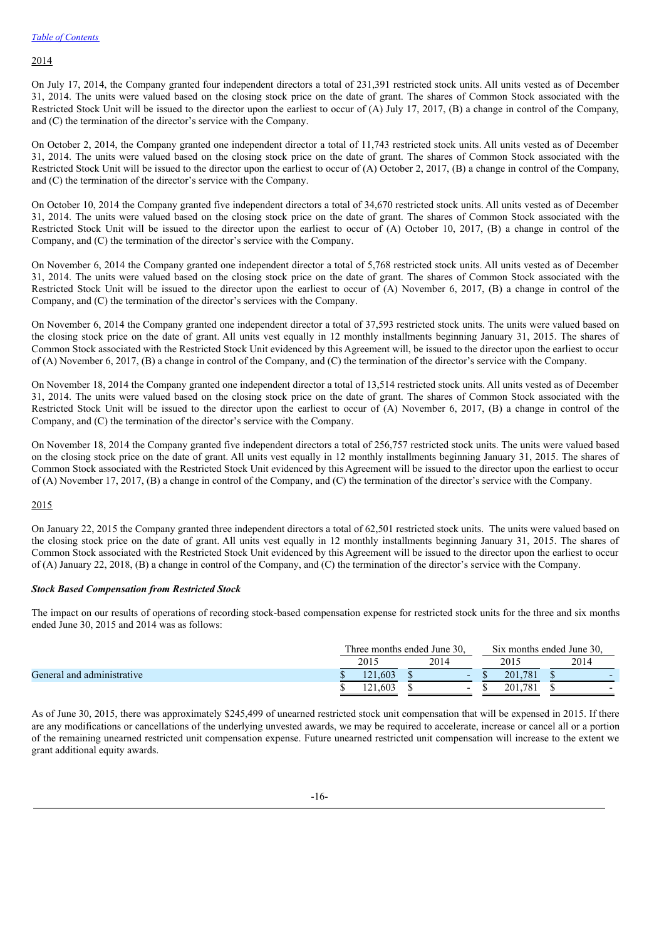## 2014

On July 17, 2014, the Company granted four independent directors a total of 231,391 restricted stock units. All units vested as of December 31, 2014. The units were valued based on the closing stock price on the date of grant. The shares of Common Stock associated with the Restricted Stock Unit will be issued to the director upon the earliest to occur of (A) July 17, 2017, (B) a change in control of the Company, and (C) the termination of the director's service with the Company.

On October 2, 2014, the Company granted one independent director a total of 11,743 restricted stock units. All units vested as of December 31, 2014. The units were valued based on the closing stock price on the date of grant. The shares of Common Stock associated with the Restricted Stock Unit will be issued to the director upon the earliest to occur of (A) October 2, 2017, (B) a change in control of the Company, and (C) the termination of the director's service with the Company.

On October 10, 2014 the Company granted five independent directors a total of 34,670 restricted stock units. All units vested as of December 31, 2014. The units were valued based on the closing stock price on the date of grant. The shares of Common Stock associated with the Restricted Stock Unit will be issued to the director upon the earliest to occur of (A) October 10, 2017, (B) a change in control of the Company, and (C) the termination of the director's service with the Company.

On November 6, 2014 the Company granted one independent director a total of 5,768 restricted stock units. All units vested as of December 31, 2014. The units were valued based on the closing stock price on the date of grant. The shares of Common Stock associated with the Restricted Stock Unit will be issued to the director upon the earliest to occur of (A) November 6, 2017, (B) a change in control of the Company, and (C) the termination of the director's services with the Company.

On November 6, 2014 the Company granted one independent director a total of 37,593 restricted stock units. The units were valued based on the closing stock price on the date of grant. All units vest equally in 12 monthly installments beginning January 31, 2015. The shares of Common Stock associated with the Restricted Stock Unit evidenced by this Agreement will, be issued to the director upon the earliest to occur of (A) November 6, 2017, (B) a change in control of the Company, and (C) the termination of the director's service with the Company.

On November 18, 2014 the Company granted one independent director a total of 13,514 restricted stock units. All units vested as of December 31, 2014. The units were valued based on the closing stock price on the date of grant. The shares of Common Stock associated with the Restricted Stock Unit will be issued to the director upon the earliest to occur of (A) November 6, 2017, (B) a change in control of the Company, and (C) the termination of the director's service with the Company.

On November 18, 2014 the Company granted five independent directors a total of 256,757 restricted stock units. The units were valued based on the closing stock price on the date of grant. All units vest equally in 12 monthly installments beginning January 31, 2015. The shares of Common Stock associated with the Restricted Stock Unit evidenced by this Agreement will be issued to the director upon the earliest to occur of (A) November 17, 2017, (B) a change in control of the Company, and (C) the termination of the director's service with the Company.

#### 2015

On January 22, 2015 the Company granted three independent directors a total of 62,501 restricted stock units. The units were valued based on the closing stock price on the date of grant. All units vest equally in 12 monthly installments beginning January 31, 2015. The shares of Common Stock associated with the Restricted Stock Unit evidenced by this Agreement will be issued to the director upon the earliest to occur of (A) January 22, 2018, (B) a change in control of the Company, and (C) the termination of the director's service with the Company.

#### *Stock Based Compensation from Restricted Stock*

The impact on our results of operations of recording stock-based compensation expense for restricted stock units for the three and six months ended June 30, 2015 and 2014 was as follows:

|                            | Three months ended June 30, |                        |  |      | Six months ended June 30. |              |  |      |  |
|----------------------------|-----------------------------|------------------------|--|------|---------------------------|--------------|--|------|--|
|                            |                             | 2015                   |  | 2014 |                           | 2015         |  | 2014 |  |
| General and administrative |                             | 121.603<br>$\gamma$ 1. |  |      |                           | 201.781      |  |      |  |
|                            |                             | .603                   |  |      |                           | 201.<br>.781 |  |      |  |

As of June 30, 2015, there was approximately \$245,499 of unearned restricted stock unit compensation that will be expensed in 2015. If there are any modifications or cancellations of the underlying unvested awards, we may be required to accelerate, increase or cancel all or a portion of the remaining unearned restricted unit compensation expense. Future unearned restricted unit compensation will increase to the extent we grant additional equity awards.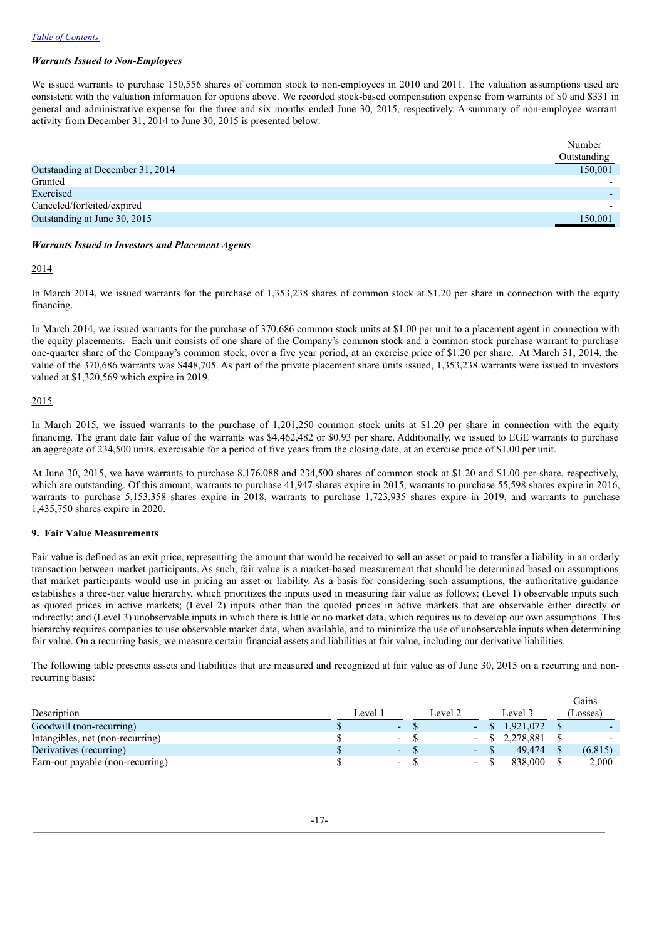### *Warrants Issued to Non-Employees*

We issued warrants to purchase 150,556 shares of common stock to non-employees in 2010 and 2011. The valuation assumptions used are consistent with the valuation information for options above. We recorded stock-based compensation expense from warrants of \$0 and \$331 in general and administrative expense for the three and six months ended June 30, 2015, respectively. A summary of non-employee warrant activity from December 31, 2014 to June 30, 2015 is presented below:

| Number      |
|-------------|
| Outstanding |
| 150,001     |
|             |
|             |
|             |
| 150,001     |
|             |

#### *Warrants Issued to Investors and Placement Agents*

#### 2014

In March 2014, we issued warrants for the purchase of 1,353,238 shares of common stock at \$1.20 per share in connection with the equity financing.

In March 2014, we issued warrants for the purchase of 370,686 common stock units at \$1.00 per unit to a placement agent in connection with the equity placements. Each unit consists of one share of the Company's common stock and a common stock purchase warrant to purchase one-quarter share of the Company's common stock, over a five year period, at an exercise price of \$1.20 per share. At March 31, 2014, the value of the 370,686 warrants was \$448,705. As part of the private placement share units issued, 1,353,238 warrants were issued to investors valued at \$1,320,569 which expire in 2019.

#### 2015

In March 2015, we issued warrants to the purchase of 1,201,250 common stock units at \$1.20 per share in connection with the equity financing. The grant date fair value of the warrants was \$4,462,482 or \$0.93 per share. Additionally, we issued to EGE warrants to purchase an aggregate of 234,500 units, exercisable for a period of five years from the closing date, at an exercise price of \$1.00 per unit.

At June 30, 2015, we have warrants to purchase 8,176,088 and 234,500 shares of common stock at \$1.20 and \$1.00 per share, respectively, which are outstanding. Of this amount, warrants to purchase 41,947 shares expire in 2015, warrants to purchase 55,598 shares expire in 2016, warrants to purchase 5,153,358 shares expire in 2018, warrants to purchase 1,723,935 shares expire in 2019, and warrants to purchase 1,435,750 shares expire in 2020.

## **9. Fair Value Measurements**

Fair value is defined as an exit price, representing the amount that would be received to sell an asset or paid to transfer a liability in an orderly transaction between market participants. As such, fair value is a market-based measurement that should be determined based on assumptions that market participants would use in pricing an asset or liability. As a basis for considering such assumptions, the authoritative guidance establishes a three-tier value hierarchy, which prioritizes the inputs used in measuring fair value as follows: (Level 1) observable inputs such as quoted prices in active markets; (Level 2) inputs other than the quoted prices in active markets that are observable either directly or indirectly; and (Level 3) unobservable inputs in which there is little or no market data, which requires us to develop our own assumptions. This hierarchy requires companies to use observable market data, when available, and to minimize the use of unobservable inputs when determining fair value. On a recurring basis, we measure certain financial assets and liabilities at fair value, including our derivative liabilities.

The following table presents assets and liabilities that are measured and recognized at fair value as of June 30, 2015 on a recurring and nonrecurring basis:

|                                  |         |                          |         |  |                          |  |           |          | Gains    |
|----------------------------------|---------|--------------------------|---------|--|--------------------------|--|-----------|----------|----------|
| Description                      | Level 1 |                          | Level 2 |  | Level 3                  |  |           | (Losses) |          |
| Goodwill (non-recurring)         |         |                          |         |  |                          |  | 1,921,072 |          |          |
| Intangibles, net (non-recurring) |         | $\overline{\phantom{a}}$ |         |  |                          |  | 2.278.881 |          |          |
| Derivatives (recurring)          |         | $\sim$                   |         |  | $\overline{\phantom{a}}$ |  | 49.474    |          | (6, 815) |
| Earn-out payable (non-recurring) |         | - 1                      |         |  |                          |  | 838,000   |          | 2,000    |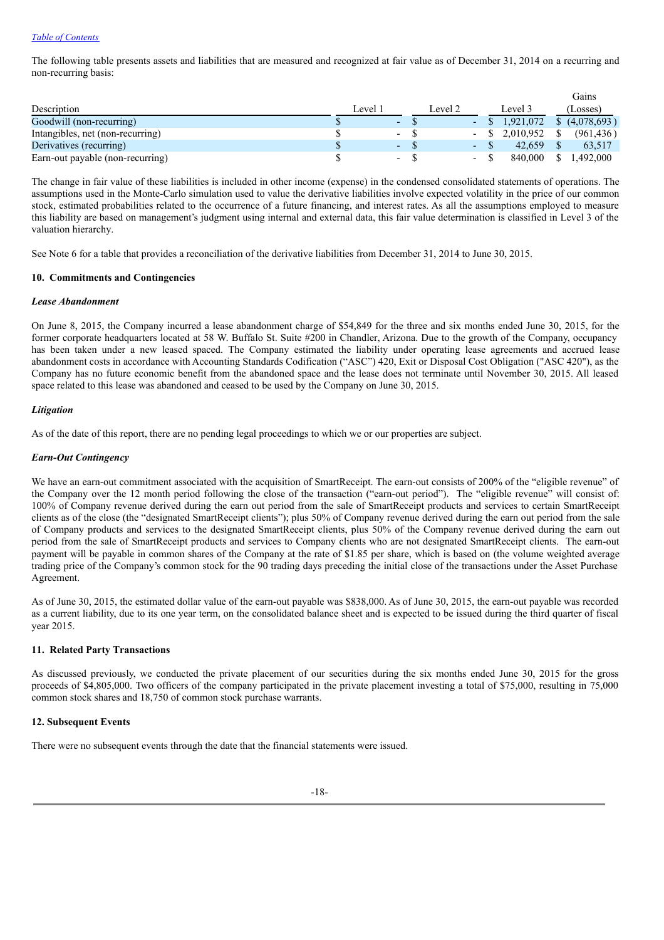#### *Table of [Contents](#page-1-0)*

The following table presents assets and liabilities that are measured and recognized at fair value as of December 31, 2014 on a recurring and non-recurring basis:

|                                  |                          |     |         |                          |           | Gains       |
|----------------------------------|--------------------------|-----|---------|--------------------------|-----------|-------------|
| Description                      | Level 1                  |     | Level 2 |                          | ∟evel 3   | (Losses)    |
| Goodwill (non-recurring)         | $\overline{\phantom{0}}$ |     |         |                          | 1.921.072 | (4,078,693) |
| Intangibles, net (non-recurring) |                          | - 8 |         | $\overline{\phantom{a}}$ | 2,010,952 | (961, 436)  |
| Derivatives (recurring)          | $\sim$                   |     |         | ۰                        | 42,659    | 63.517      |
| Earn-out payable (non-recurring) | $\sim$                   |     |         | -                        | 840.000   | .492.000    |

The change in fair value of these liabilities is included in other income (expense) in the condensed consolidated statements of operations. The assumptions used in the Monte-Carlo simulation used to value the derivative liabilities involve expected volatility in the price of our common stock, estimated probabilities related to the occurrence of a future financing, and interest rates. As all the assumptions employed to measure this liability are based on management's judgment using internal and external data, this fair value determination is classified in Level 3 of the valuation hierarchy.

See Note 6 for a table that provides a reconciliation of the derivative liabilities from December 31, 2014 to June 30, 2015.

#### **10. Commitments and Contingencies**

#### *Lease Abandonment*

On June 8, 2015, the Company incurred a lease abandonment charge of \$54,849 for the three and six months ended June 30, 2015, for the former corporate headquarters located at 58 W. Buffalo St. Suite #200 in Chandler, Arizona. Due to the growth of the Company, occupancy has been taken under a new leased spaced. The Company estimated the liability under operating lease agreements and accrued lease abandonment costs in accordance with Accounting Standards Codification ("ASC") 420, Exit or Disposal Cost Obligation ("ASC 420"), as the Company has no future economic benefit from the abandoned space and the lease does not terminate until November 30, 2015. All leased space related to this lease was abandoned and ceased to be used by the Company on June 30, 2015.

#### *Litigation*

As of the date of this report, there are no pending legal proceedings to which we or our properties are subject.

#### *Earn-Out Contingency*

We have an earn-out commitment associated with the acquisition of SmartReceipt. The earn-out consists of 200% of the "eligible revenue" of the Company over the 12 month period following the close of the transaction ("earn-out period"). The "eligible revenue" will consist of: 100% of Company revenue derived during the earn out period from the sale of SmartReceipt products and services to certain SmartReceipt clients as of the close (the "designated SmartReceipt clients"); plus 50% of Company revenue derived during the earn out period from the sale of Company products and services to the designated SmartReceipt clients, plus 50% of the Company revenue derived during the earn out period from the sale of SmartReceipt products and services to Company clients who are not designated SmartReceipt clients. The earn-out payment will be payable in common shares of the Company at the rate of \$1.85 per share, which is based on (the volume weighted average trading price of the Company's common stock for the 90 trading days preceding the initial close of the transactions under the Asset Purchase Agreement.

As of June 30, 2015, the estimated dollar value of the earn-out payable was \$838,000. As of June 30, 2015, the earn-out payable was recorded as a current liability, due to its one year term, on the consolidated balance sheet and is expected to be issued during the third quarter of fiscal year 2015.

#### **11. Related Party Transactions**

As discussed previously, we conducted the private placement of our securities during the six months ended June 30, 2015 for the gross proceeds of \$4,805,000. Two officers of the company participated in the private placement investing a total of \$75,000, resulting in 75,000 common stock shares and 18,750 of common stock purchase warrants.

#### **12. Subsequent Events**

There were no subsequent events through the date that the financial statements were issued.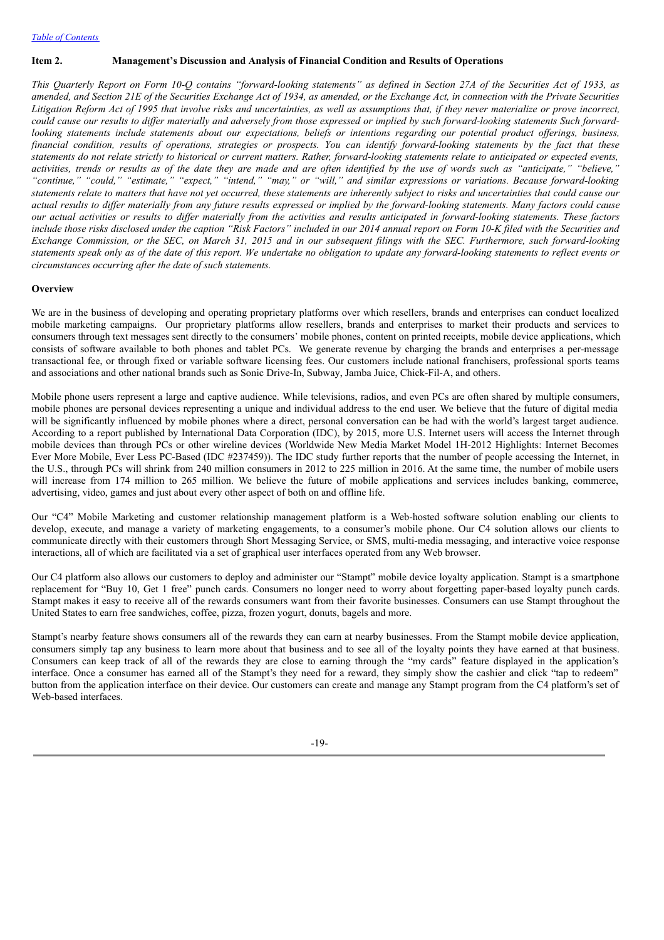## <span id="page-20-0"></span>**Item 2. Management's Discussion and Analysis of Financial Condition and Results of Operations**

This Quarterly Report on Form 10-O contains "forward-looking statements" as defined in Section 27A of the Securities Act of 1933, as amended, and Section 21E of the Securities Exchange Act of 1934, as amended, or the Exchange Act, in connection with the Private Securities Litigation Reform Act of 1995 that involve risks and uncertainties, as well as assumptions that, if they never materialize or prove incorrect, could cause our results to differ materially and adversely from those expressed or implied by such forward-looking statements Such forwardlooking statements include statements about our expectations, beliefs or intentions regarding our potential product offerings, business, financial condition, results of operations, strategies or prospects. You can identify forward-looking statements by the fact that these statements do not relate strictly to historical or current matters. Rather, forward-looking statements relate to anticipated or expected events, activities, trends or results as of the date they are made and are often identified by the use of words such as "anticipate," "believe," "continue," "could," "estimate," "expect," "intend," "may," or "will," and similar expressions or variations. Because forward-looking statements relate to matters that have not yet occurred, these statements are inherently subject to risks and uncertainties that could cause our actual results to differ materially from any future results expressed or implied by the forward-looking statements. Many factors could cause our actual activities or results to differ materially from the activities and results anticipated in forward-looking statements. These factors include those risks disclosed under the caption "Risk Factors" included in our 2014 annual report on Form 10-K filed with the Securities and Exchange Commission, or the SEC, on March 31, 2015 and in our subsequent filings with the SEC. Furthermore, such forward-looking statements speak only as of the date of this report. We undertake no obligation to update any forward-looking statements to reflect events or *circumstances occurring after the date of such statements.*

## **Overview**

We are in the business of developing and operating proprietary platforms over which resellers, brands and enterprises can conduct localized mobile marketing campaigns. Our proprietary platforms allow resellers, brands and enterprises to market their products and services to consumers through text messages sent directly to the consumers' mobile phones, content on printed receipts, mobile device applications, which consists of software available to both phones and tablet PCs. We generate revenue by charging the brands and enterprises a per-message transactional fee, or through fixed or variable software licensing fees. Our customers include national franchisers, professional sports teams and associations and other national brands such as Sonic Drive-In, Subway, Jamba Juice, Chick-Fil-A, and others.

Mobile phone users represent a large and captive audience. While televisions, radios, and even PCs are often shared by multiple consumers, mobile phones are personal devices representing a unique and individual address to the end user. We believe that the future of digital media will be significantly influenced by mobile phones where a direct, personal conversation can be had with the world's largest target audience. According to a report published by International Data Corporation (IDC), by 2015, more U.S. Internet users will access the Internet through mobile devices than through PCs or other wireline devices (Worldwide New Media Market Model 1H-2012 Highlights: Internet Becomes Ever More Mobile, Ever Less PC-Based (IDC #237459)). The IDC study further reports that the number of people accessing the Internet, in the U.S., through PCs will shrink from 240 million consumers in 2012 to 225 million in 2016. At the same time, the number of mobile users will increase from 174 million to 265 million. We believe the future of mobile applications and services includes banking, commerce, advertising, video, games and just about every other aspect of both on and offline life.

Our "C4" Mobile Marketing and customer relationship management platform is a Web-hosted software solution enabling our clients to develop, execute, and manage a variety of marketing engagements, to a consumer's mobile phone. Our C4 solution allows our clients to communicate directly with their customers through Short Messaging Service, or SMS, multi-media messaging, and interactive voice response interactions, all of which are facilitated via a set of graphical user interfaces operated from any Web browser.

Our C4 platform also allows our customers to deploy and administer our "Stampt" mobile device loyalty application. Stampt is a smartphone replacement for "Buy 10, Get 1 free" punch cards. Consumers no longer need to worry about forgetting paper-based loyalty punch cards. Stampt makes it easy to receive all of the rewards consumers want from their favorite businesses. Consumers can use Stampt throughout the United States to earn free sandwiches, coffee, pizza, frozen yogurt, donuts, bagels and more.

Stampt's nearby feature shows consumers all of the rewards they can earn at nearby businesses. From the Stampt mobile device application, consumers simply tap any business to learn more about that business and to see all of the loyalty points they have earned at that business. Consumers can keep track of all of the rewards they are close to earning through the "my cards" feature displayed in the application's interface. Once a consumer has earned all of the Stampt's they need for a reward, they simply show the cashier and click "tap to redeem" button from the application interface on their device. Our customers can create and manage any Stampt program from the C4 platform's set of Web-based interfaces.

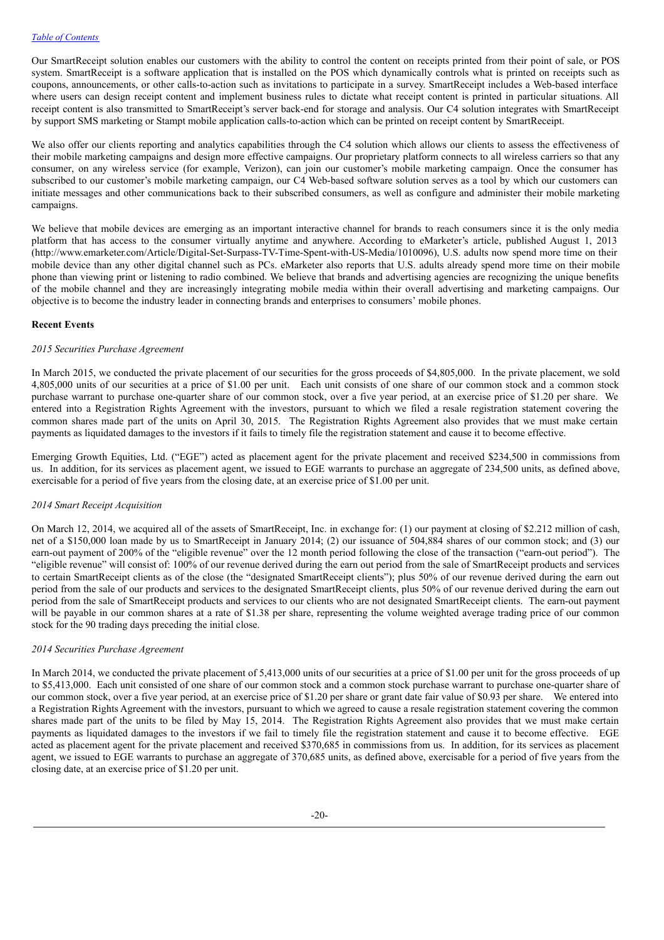Our SmartReceipt solution enables our customers with the ability to control the content on receipts printed from their point of sale, or POS system. SmartReceipt is a software application that is installed on the POS which dynamically controls what is printed on receipts such as coupons, announcements, or other calls-to-action such as invitations to participate in a survey. SmartReceipt includes a Web-based interface where users can design receipt content and implement business rules to dictate what receipt content is printed in particular situations. All receipt content is also transmitted to SmartReceipt's server back-end for storage and analysis. Our C4 solution integrates with SmartReceipt by support SMS marketing or Stampt mobile application calls-to-action which can be printed on receipt content by SmartReceipt.

We also offer our clients reporting and analytics capabilities through the C4 solution which allows our clients to assess the effectiveness of their mobile marketing campaigns and design more effective campaigns. Our proprietary platform connects to all wireless carriers so that any consumer, on any wireless service (for example, Verizon), can join our customer's mobile marketing campaign. Once the consumer has subscribed to our customer's mobile marketing campaign, our C4 Web-based software solution serves as a tool by which our customers can initiate messages and other communications back to their subscribed consumers, as well as configure and administer their mobile marketing campaigns.

We believe that mobile devices are emerging as an important interactive channel for brands to reach consumers since it is the only media platform that has access to the consumer virtually anytime and anywhere. According to eMarketer's article, published August 1, 2013 (http://www.emarketer.com/Article/Digital-Set-Surpass-TV-Time-Spent-with-US-Media/1010096), U.S. adults now spend more time on their mobile device than any other digital channel such as PCs. eMarketer also reports that U.S. adults already spend more time on their mobile phone than viewing print or listening to radio combined. We believe that brands and advertising agencies are recognizing the unique benefits of the mobile channel and they are increasingly integrating mobile media within their overall advertising and marketing campaigns. Our objective is to become the industry leader in connecting brands and enterprises to consumers' mobile phones.

#### **Recent Events**

#### *2015 Securities Purchase Agreement*

In March 2015, we conducted the private placement of our securities for the gross proceeds of \$4,805,000. In the private placement, we sold 4,805,000 units of our securities at a price of \$1.00 per unit. Each unit consists of one share of our common stock and a common stock purchase warrant to purchase one-quarter share of our common stock, over a five year period, at an exercise price of \$1.20 per share. We entered into a Registration Rights Agreement with the investors, pursuant to which we filed a resale registration statement covering the common shares made part of the units on April 30, 2015. The Registration Rights Agreement also provides that we must make certain payments as liquidated damages to the investors if it fails to timely file the registration statement and cause it to become effective.

Emerging Growth Equities, Ltd. ("EGE") acted as placement agent for the private placement and received \$234,500 in commissions from us. In addition, for its services as placement agent, we issued to EGE warrants to purchase an aggregate of 234,500 units, as defined above, exercisable for a period of five years from the closing date, at an exercise price of \$1.00 per unit.

#### *2014 Smart Receipt Acquisition*

On March 12, 2014, we acquired all of the assets of SmartReceipt, Inc. in exchange for: (1) our payment at closing of \$2.212 million of cash, net of a \$150,000 loan made by us to SmartReceipt in January 2014; (2) our issuance of 504,884 shares of our common stock; and (3) our earn-out payment of 200% of the "eligible revenue" over the 12 month period following the close of the transaction ("earn-out period"). The "eligible revenue" will consist of: 100% of our revenue derived during the earn out period from the sale of SmartReceipt products and services to certain SmartReceipt clients as of the close (the "designated SmartReceipt clients"); plus 50% of our revenue derived during the earn out period from the sale of our products and services to the designated SmartReceipt clients, plus 50% of our revenue derived during the earn out period from the sale of SmartReceipt products and services to our clients who are not designated SmartReceipt clients. The earn-out payment will be payable in our common shares at a rate of \$1.38 per share, representing the volume weighted average trading price of our common stock for the 90 trading days preceding the initial close.

### *2014 Securities Purchase Agreement*

In March 2014, we conducted the private placement of 5,413,000 units of our securities at a price of \$1.00 per unit for the gross proceeds of up to \$5,413,000. Each unit consisted of one share of our common stock and a common stock purchase warrant to purchase one-quarter share of our common stock, over a five year period, at an exercise price of \$1.20 per share or grant date fair value of \$0.93 per share. We entered into a Registration Rights Agreement with the investors, pursuant to which we agreed to cause a resale registration statement covering the common shares made part of the units to be filed by May 15, 2014. The Registration Rights Agreement also provides that we must make certain payments as liquidated damages to the investors if we fail to timely file the registration statement and cause it to become effective. EGE acted as placement agent for the private placement and received \$370,685 in commissions from us. In addition, for its services as placement agent, we issued to EGE warrants to purchase an aggregate of 370,685 units, as defined above, exercisable for a period of five years from the closing date, at an exercise price of \$1.20 per unit.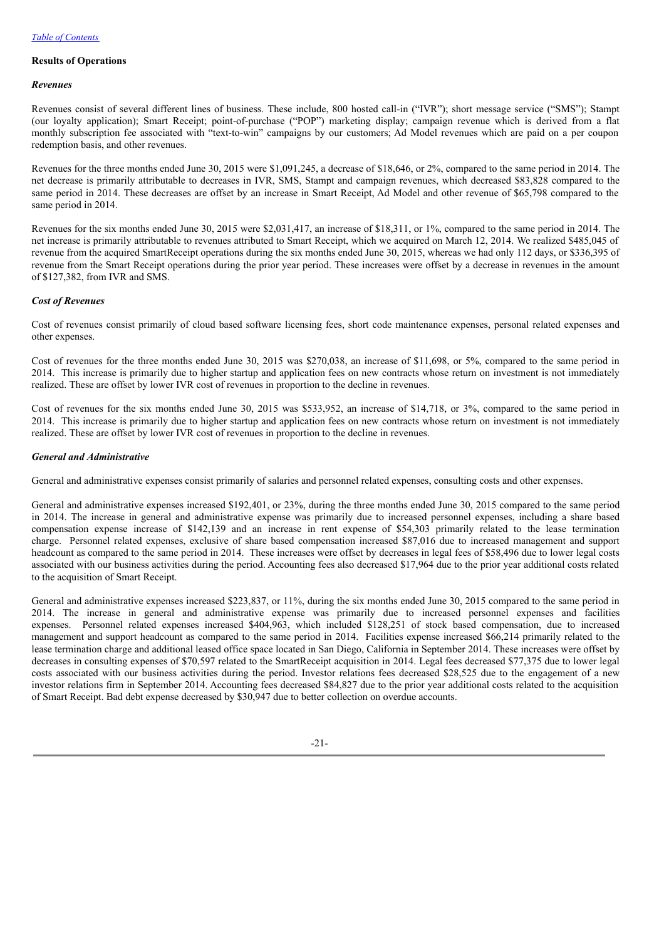#### **Results of Operations**

#### *Revenues*

Revenues consist of several different lines of business. These include, 800 hosted call-in ("IVR"); short message service ("SMS"); Stampt (our loyalty application); Smart Receipt; point-of-purchase ("POP") marketing display; campaign revenue which is derived from a flat monthly subscription fee associated with "text-to-win" campaigns by our customers; Ad Model revenues which are paid on a per coupon redemption basis, and other revenues.

Revenues for the three months ended June 30, 2015 were \$1,091,245, a decrease of \$18,646, or 2%, compared to the same period in 2014. The net decrease is primarily attributable to decreases in IVR, SMS, Stampt and campaign revenues, which decreased \$83,828 compared to the same period in 2014. These decreases are offset by an increase in Smart Receipt, Ad Model and other revenue of \$65,798 compared to the same period in 2014.

Revenues for the six months ended June 30, 2015 were \$2,031,417, an increase of \$18,311, or 1%, compared to the same period in 2014. The net increase is primarily attributable to revenues attributed to Smart Receipt, which we acquired on March 12, 2014. We realized \$485,045 of revenue from the acquired SmartReceipt operations during the six months ended June 30, 2015, whereas we had only 112 days, or \$336,395 of revenue from the Smart Receipt operations during the prior year period. These increases were offset by a decrease in revenues in the amount of \$127,382, from IVR and SMS.

## *Cost of Revenues*

Cost of revenues consist primarily of cloud based software licensing fees, short code maintenance expenses, personal related expenses and other expenses.

Cost of revenues for the three months ended June 30, 2015 was \$270,038, an increase of \$11,698, or 5%, compared to the same period in 2014. This increase is primarily due to higher startup and application fees on new contracts whose return on investment is not immediately realized. These are offset by lower IVR cost of revenues in proportion to the decline in revenues.

Cost of revenues for the six months ended June 30, 2015 was \$533,952, an increase of \$14,718, or 3%, compared to the same period in 2014. This increase is primarily due to higher startup and application fees on new contracts whose return on investment is not immediately realized. These are offset by lower IVR cost of revenues in proportion to the decline in revenues.

## *General and Administrative*

General and administrative expenses consist primarily of salaries and personnel related expenses, consulting costs and other expenses.

General and administrative expenses increased \$192,401, or 23%, during the three months ended June 30, 2015 compared to the same period in 2014. The increase in general and administrative expense was primarily due to increased personnel expenses, including a share based compensation expense increase of \$142,139 and an increase in rent expense of \$54,303 primarily related to the lease termination charge. Personnel related expenses, exclusive of share based compensation increased \$87,016 due to increased management and support headcount as compared to the same period in 2014. These increases were offset by decreases in legal fees of \$58,496 due to lower legal costs associated with our business activities during the period. Accounting fees also decreased \$17,964 due to the prior year additional costs related to the acquisition of Smart Receipt.

General and administrative expenses increased \$223,837, or 11%, during the six months ended June 30, 2015 compared to the same period in 2014. The increase in general and administrative expense was primarily due to increased personnel expenses and facilities expenses. Personnel related expenses increased \$404,963, which included \$128,251 of stock based compensation, due to increased management and support headcount as compared to the same period in 2014. Facilities expense increased \$66,214 primarily related to the lease termination charge and additional leased office space located in San Diego, California in September 2014. These increases were offset by decreases in consulting expenses of \$70,597 related to the SmartReceipt acquisition in 2014. Legal fees decreased \$77,375 due to lower legal costs associated with our business activities during the period. Investor relations fees decreased \$28,525 due to the engagement of a new investor relations firm in September 2014. Accounting fees decreased \$84,827 due to the prior year additional costs related to the acquisition of Smart Receipt. Bad debt expense decreased by \$30,947 due to better collection on overdue accounts.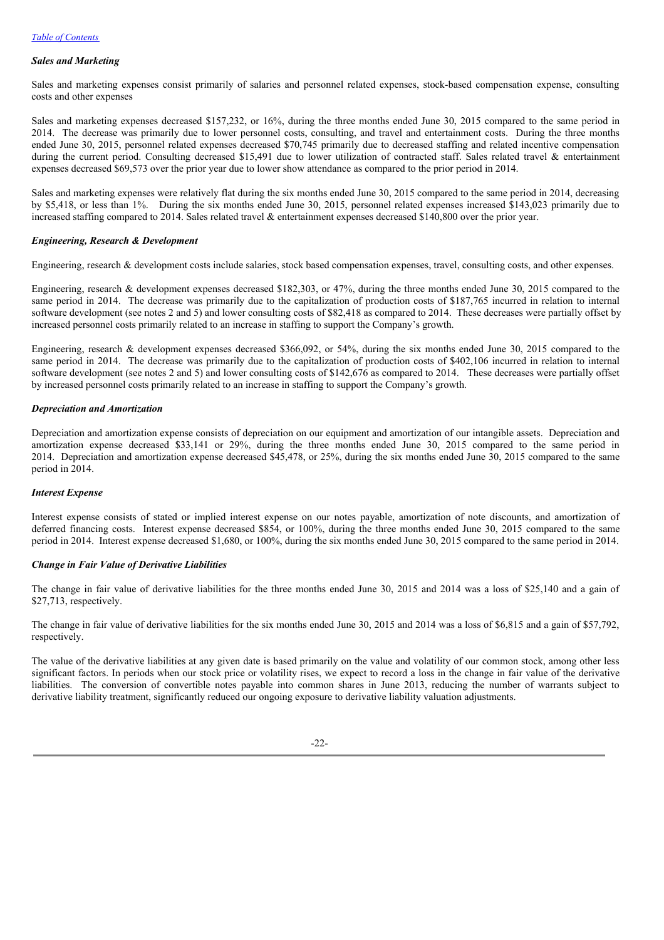#### *Sales and Marketing*

Sales and marketing expenses consist primarily of salaries and personnel related expenses, stock-based compensation expense, consulting costs and other expenses

Sales and marketing expenses decreased \$157,232, or 16%, during the three months ended June 30, 2015 compared to the same period in 2014. The decrease was primarily due to lower personnel costs, consulting, and travel and entertainment costs. During the three months ended June 30, 2015, personnel related expenses decreased \$70,745 primarily due to decreased staffing and related incentive compensation during the current period. Consulting decreased \$15,491 due to lower utilization of contracted staff. Sales related travel & entertainment expenses decreased \$69,573 over the prior year due to lower show attendance as compared to the prior period in 2014.

Sales and marketing expenses were relatively flat during the six months ended June 30, 2015 compared to the same period in 2014, decreasing by \$5,418, or less than 1%. During the six months ended June 30, 2015, personnel related expenses increased \$143,023 primarily due to increased staffing compared to 2014. Sales related travel & entertainment expenses decreased \$140,800 over the prior year.

#### *Engineering, Research & Development*

Engineering, research & development costs include salaries, stock based compensation expenses, travel, consulting costs, and other expenses.

Engineering, research & development expenses decreased \$182,303, or 47%, during the three months ended June 30, 2015 compared to the same period in 2014. The decrease was primarily due to the capitalization of production costs of \$187,765 incurred in relation to internal software development (see notes 2 and 5) and lower consulting costs of \$82,418 as compared to 2014. These decreases were partially offset by increased personnel costs primarily related to an increase in staffing to support the Company's growth.

Engineering, research & development expenses decreased \$366,092, or 54%, during the six months ended June 30, 2015 compared to the same period in 2014. The decrease was primarily due to the capitalization of production costs of \$402,106 incurred in relation to internal software development (see notes 2 and 5) and lower consulting costs of \$142,676 as compared to 2014. These decreases were partially offset by increased personnel costs primarily related to an increase in staffing to support the Company's growth.

#### *Depreciation and Amortization*

Depreciation and amortization expense consists of depreciation on our equipment and amortization of our intangible assets. Depreciation and amortization expense decreased \$33,141 or 29%, during the three months ended June 30, 2015 compared to the same period in 2014. Depreciation and amortization expense decreased \$45,478, or 25%, during the six months ended June 30, 2015 compared to the same period in 2014.

#### *Interest Expense*

Interest expense consists of stated or implied interest expense on our notes payable, amortization of note discounts, and amortization of deferred financing costs. Interest expense decreased \$854, or 100%, during the three months ended June 30, 2015 compared to the same period in 2014. Interest expense decreased \$1,680, or 100%, during the six months ended June 30, 2015 compared to the same period in 2014.

#### *Change in Fair Value of Derivative Liabilities*

The change in fair value of derivative liabilities for the three months ended June 30, 2015 and 2014 was a loss of \$25,140 and a gain of \$27,713, respectively.

The change in fair value of derivative liabilities for the six months ended June 30, 2015 and 2014 was a loss of \$6,815 and a gain of \$57,792, respectively.

The value of the derivative liabilities at any given date is based primarily on the value and volatility of our common stock, among other less significant factors. In periods when our stock price or volatility rises, we expect to record a loss in the change in fair value of the derivative liabilities. The conversion of convertible notes payable into common shares in June 2013, reducing the number of warrants subject to derivative liability treatment, significantly reduced our ongoing exposure to derivative liability valuation adjustments.

-22-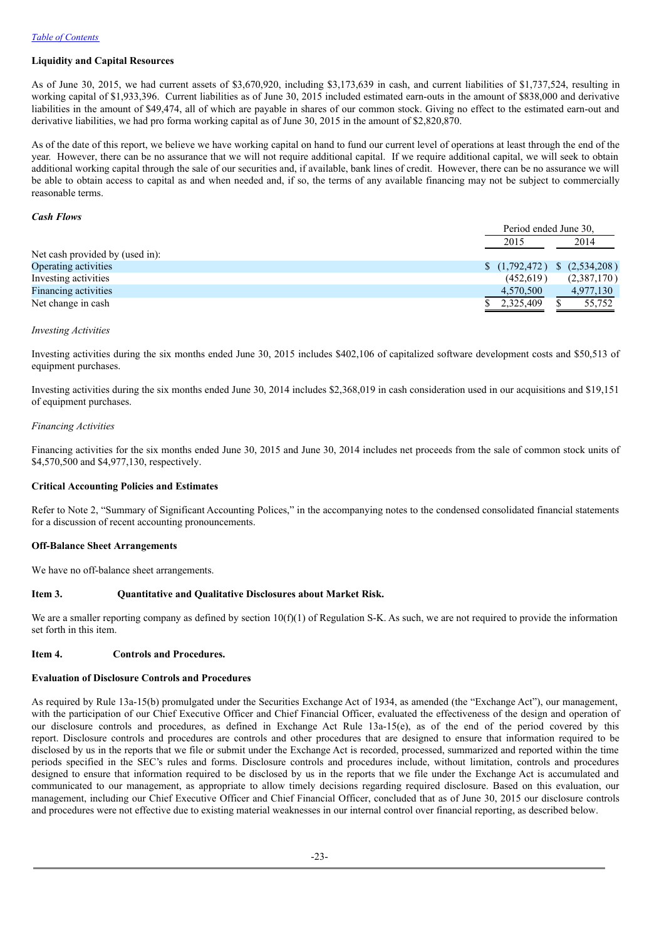## **Liquidity and Capital Resources**

As of June 30, 2015, we had current assets of \$3,670,920, including \$3,173,639 in cash, and current liabilities of \$1,737,524, resulting in working capital of \$1,933,396. Current liabilities as of June 30, 2015 included estimated earn-outs in the amount of \$838,000 and derivative liabilities in the amount of \$49,474, all of which are payable in shares of our common stock. Giving no effect to the estimated earn-out and derivative liabilities, we had pro forma working capital as of June 30, 2015 in the amount of \$2,820,870.

As of the date of this report, we believe we have working capital on hand to fund our current level of operations at least through the end of the year. However, there can be no assurance that we will not require additional capital. If we require additional capital, we will seek to obtain additional working capital through the sale of our securities and, if available, bank lines of credit. However, there can be no assurance we will be able to obtain access to capital as and when needed and, if so, the terms of any available financing may not be subject to commercially reasonable terms.

## *Cash Flows*

| Cash I tows                     |                       |                           |
|---------------------------------|-----------------------|---------------------------|
|                                 | Period ended June 30, |                           |
|                                 | 2015                  | 2014                      |
| Net cash provided by (used in): |                       |                           |
| Operating activities            | \$(1,792,472)         | $\frac{1}{2}$ (2,534,208) |
| Investing activities            | (452, 619)            | (2,387,170)               |
| Financing activities            | 4,570,500             | 4,977,130                 |
| Net change in cash              | 2,325,409             | 55,752                    |
|                                 |                       |                           |

#### *Investing Activities*

Investing activities during the six months ended June 30, 2015 includes \$402,106 of capitalized software development costs and \$50,513 of equipment purchases.

Investing activities during the six months ended June 30, 2014 includes \$2,368,019 in cash consideration used in our acquisitions and \$19,151 of equipment purchases.

#### *Financing Activities*

Financing activities for the six months ended June 30, 2015 and June 30, 2014 includes net proceeds from the sale of common stock units of \$4,570,500 and \$4,977,130, respectively.

## **Critical Accounting Policies and Estimates**

Refer to Note 2, "Summary of Significant Accounting Polices," in the accompanying notes to the condensed consolidated financial statements for a discussion of recent accounting pronouncements.

## **Off-Balance Sheet Arrangements**

We have no off-balance sheet arrangements.

#### <span id="page-24-0"></span>**Item 3. Quantitative and Qualitative Disclosures about Market Risk.**

We are a smaller reporting company as defined by section  $10(f)(1)$  of Regulation S-K. As such, we are not required to provide the information set forth in this item.

#### <span id="page-24-1"></span>**Item 4. Controls and Procedures.**

## **Evaluation of Disclosure Controls and Procedures**

As required by Rule 13a-15(b) promulgated under the Securities Exchange Act of 1934, as amended (the "Exchange Act"), our management, with the participation of our Chief Executive Officer and Chief Financial Officer, evaluated the effectiveness of the design and operation of our disclosure controls and procedures, as defined in Exchange Act Rule 13a-15(e), as of the end of the period covered by this report. Disclosure controls and procedures are controls and other procedures that are designed to ensure that information required to be disclosed by us in the reports that we file or submit under the Exchange Act is recorded, processed, summarized and reported within the time periods specified in the SEC's rules and forms. Disclosure controls and procedures include, without limitation, controls and procedures designed to ensure that information required to be disclosed by us in the reports that we file under the Exchange Act is accumulated and communicated to our management, as appropriate to allow timely decisions regarding required disclosure. Based on this evaluation, our management, including our Chief Executive Officer and Chief Financial Officer, concluded that as of June 30, 2015 our disclosure controls and procedures were not effective due to existing material weaknesses in our internal control over financial reporting, as described below.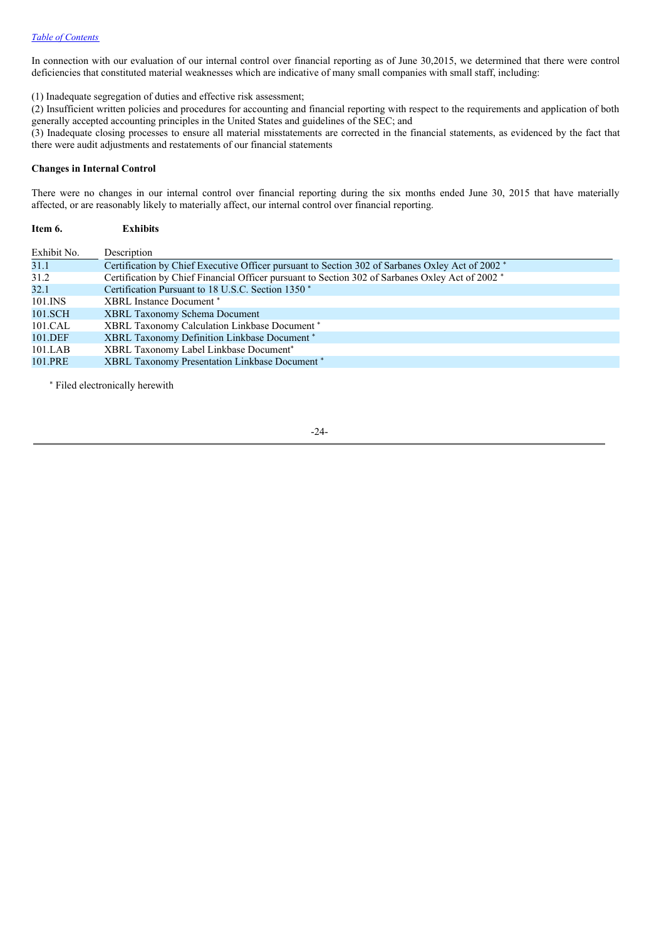In connection with our evaluation of our internal control over financial reporting as of June 30,2015, we determined that there were control deficiencies that constituted material weaknesses which are indicative of many small companies with small staff, including:

(1) Inadequate segregation of duties and effective risk assessment;

(2) Insufficient written policies and procedures for accounting and financial reporting with respect to the requirements and application of both generally accepted accounting principles in the United States and guidelines of the SEC; and

(3) Inadequate closing processes to ensure all material misstatements are corrected in the financial statements, as evidenced by the fact that there were audit adjustments and restatements of our financial statements

#### **Changes in Internal Control**

There were no changes in our internal control over financial reporting during the six months ended June 30, 2015 that have materially affected, or are reasonably likely to materially affect, our internal control over financial reporting.

<span id="page-25-0"></span>**Item 6. Exhibits**

| Exhibit No. | Description                                                                                      |
|-------------|--------------------------------------------------------------------------------------------------|
| 31.1        | Certification by Chief Executive Officer pursuant to Section 302 of Sarbanes Oxley Act of 2002 * |
| 31.2        | Certification by Chief Financial Officer pursuant to Section 302 of Sarbanes Oxley Act of 2002 * |
| 32.1        | Certification Pursuant to 18 U.S.C. Section 1350 *                                               |
| 101.INS     | XBRL Instance Document*                                                                          |
| 101.SCH     | <b>XBRL Taxonomy Schema Document</b>                                                             |
| 101.CAL     | XBRL Taxonomy Calculation Linkbase Document*                                                     |
| 101.DEF     | XBRL Taxonomy Definition Linkbase Document*                                                      |
| 101.LAB     | XBRL Taxonomy Label Linkbase Document*                                                           |
| 101.PRE     | XBRL Taxonomy Presentation Linkbase Document*                                                    |

\* Filed electronically herewith

#### -24-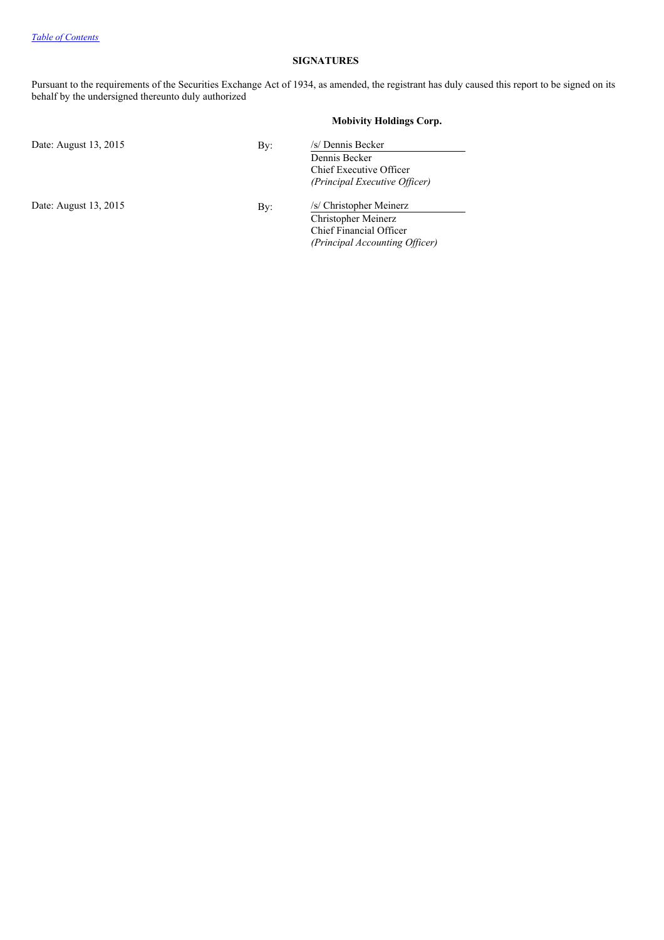## <span id="page-26-0"></span>**SIGNATURES**

Pursuant to the requirements of the Securities Exchange Act of 1934, as amended, the registrant has duly caused this report to be signed on its behalf by the undersigned thereunto duly authorized

| Date: August 13, 2015 | By: | /s/ Dennis Becker<br>Dennis Becker<br>Chief Executive Officer<br>(Principal Executive Officer)                     |
|-----------------------|-----|--------------------------------------------------------------------------------------------------------------------|
| Date: August 13, 2015 | By: | /s/ Christopher Meinerz<br>Christopher Meinerz<br>Chief Financial Officer<br><i>(Principal Accounting Officer)</i> |

## **Mobivity Holdings Corp.**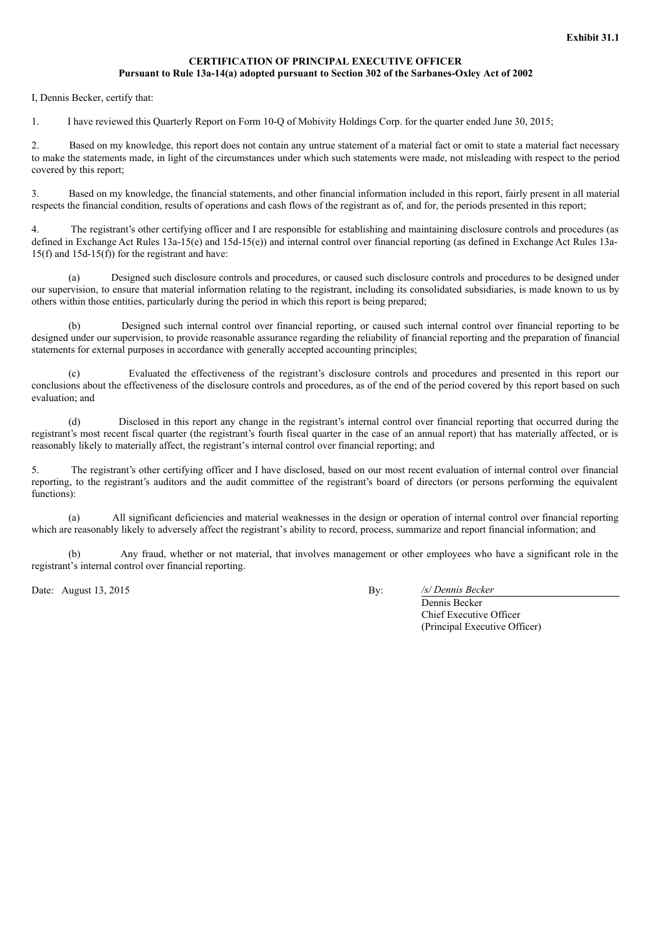## **CERTIFICATION OF PRINCIPAL EXECUTIVE OFFICER Pursuant to Rule 13a-14(a) adopted pursuant to Section 302 of the Sarbanes-Oxley Act of 2002**

I, Dennis Becker, certify that:

1. I have reviewed this Quarterly Report on Form 10-Q of Mobivity Holdings Corp. for the quarter ended June 30, 2015;

2. Based on my knowledge, this report does not contain any untrue statement of a material fact or omit to state a material fact necessary to make the statements made, in light of the circumstances under which such statements were made, not misleading with respect to the period covered by this report;

3. Based on my knowledge, the financial statements, and other financial information included in this report, fairly present in all material respects the financial condition, results of operations and cash flows of the registrant as of, and for, the periods presented in this report;

4. The registrant's other certifying officer and I are responsible for establishing and maintaining disclosure controls and procedures (as defined in Exchange Act Rules 13a-15(e) and 15d-15(e)) and internal control over financial reporting (as defined in Exchange Act Rules 13a-15(f) and 15d-15(f)) for the registrant and have:

(a) Designed such disclosure controls and procedures, or caused such disclosure controls and procedures to be designed under our supervision, to ensure that material information relating to the registrant, including its consolidated subsidiaries, is made known to us by others within those entities, particularly during the period in which this report is being prepared;

Designed such internal control over financial reporting, or caused such internal control over financial reporting to be designed under our supervision, to provide reasonable assurance regarding the reliability of financial reporting and the preparation of financial statements for external purposes in accordance with generally accepted accounting principles;

Evaluated the effectiveness of the registrant's disclosure controls and procedures and presented in this report our conclusions about the effectiveness of the disclosure controls and procedures, as of the end of the period covered by this report based on such evaluation; and

(d) Disclosed in this report any change in the registrant's internal control over financial reporting that occurred during the registrant's most recent fiscal quarter (the registrant's fourth fiscal quarter in the case of an annual report) that has materially affected, or is reasonably likely to materially affect, the registrant's internal control over financial reporting; and

5. The registrant's other certifying officer and I have disclosed, based on our most recent evaluation of internal control over financial reporting, to the registrant's auditors and the audit committee of the registrant's board of directors (or persons performing the equivalent functions):

(a) All significant deficiencies and material weaknesses in the design or operation of internal control over financial reporting which are reasonably likely to adversely affect the registrant's ability to record, process, summarize and report financial information; and

(b) Any fraud, whether or not material, that involves management or other employees who have a significant role in the registrant's internal control over financial reporting.

Date: August 13, 2015 By: */s/ Dennis Becker* 

Dennis Becker Chief Executive Officer (Principal Executive Officer)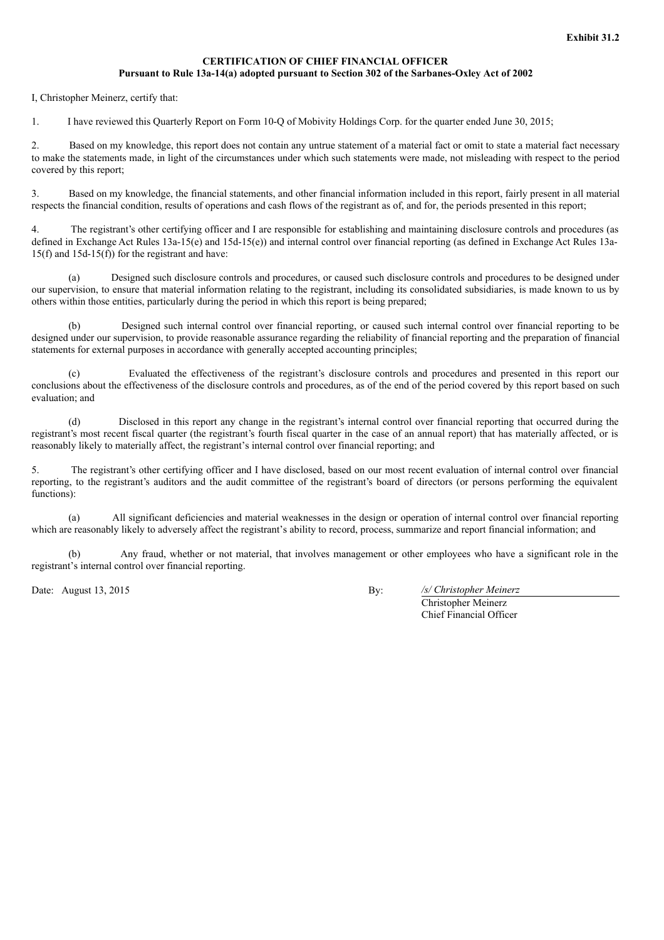## **CERTIFICATION OF CHIEF FINANCIAL OFFICER Pursuant to Rule 13a-14(a) adopted pursuant to Section 302 of the Sarbanes-Oxley Act of 2002**

I, Christopher Meinerz, certify that:

1. I have reviewed this Quarterly Report on Form 10-Q of Mobivity Holdings Corp. for the quarter ended June 30, 2015;

2. Based on my knowledge, this report does not contain any untrue statement of a material fact or omit to state a material fact necessary to make the statements made, in light of the circumstances under which such statements were made, not misleading with respect to the period covered by this report;

3. Based on my knowledge, the financial statements, and other financial information included in this report, fairly present in all material respects the financial condition, results of operations and cash flows of the registrant as of, and for, the periods presented in this report;

4. The registrant's other certifying officer and I are responsible for establishing and maintaining disclosure controls and procedures (as defined in Exchange Act Rules 13a-15(e) and 15d-15(e)) and internal control over financial reporting (as defined in Exchange Act Rules 13a-15(f) and 15d-15(f)) for the registrant and have:

(a) Designed such disclosure controls and procedures, or caused such disclosure controls and procedures to be designed under our supervision, to ensure that material information relating to the registrant, including its consolidated subsidiaries, is made known to us by others within those entities, particularly during the period in which this report is being prepared;

Designed such internal control over financial reporting, or caused such internal control over financial reporting to be designed under our supervision, to provide reasonable assurance regarding the reliability of financial reporting and the preparation of financial statements for external purposes in accordance with generally accepted accounting principles;

Evaluated the effectiveness of the registrant's disclosure controls and procedures and presented in this report our conclusions about the effectiveness of the disclosure controls and procedures, as of the end of the period covered by this report based on such evaluation; and

(d) Disclosed in this report any change in the registrant's internal control over financial reporting that occurred during the registrant's most recent fiscal quarter (the registrant's fourth fiscal quarter in the case of an annual report) that has materially affected, or is reasonably likely to materially affect, the registrant's internal control over financial reporting; and

5. The registrant's other certifying officer and I have disclosed, based on our most recent evaluation of internal control over financial reporting, to the registrant's auditors and the audit committee of the registrant's board of directors (or persons performing the equivalent functions):

(a) All significant deficiencies and material weaknesses in the design or operation of internal control over financial reporting which are reasonably likely to adversely affect the registrant's ability to record, process, summarize and report financial information; and

(b) Any fraud, whether or not material, that involves management or other employees who have a significant role in the registrant's internal control over financial reporting.

Date: August 13, 2015 By: */s/ Christopher Meinerz* 

Christopher Meinerz Chief Financial Officer